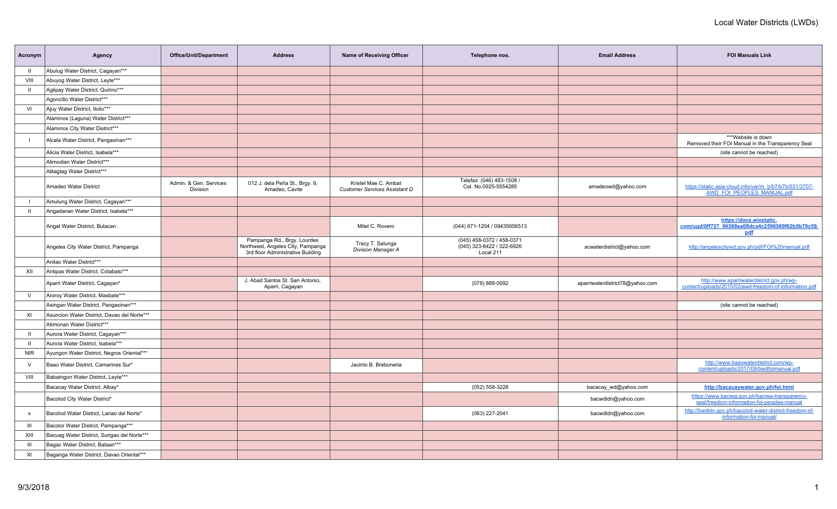| Acronym                   | Agency                                      | Office/Unit/Department             | <b>Address</b>                                                                                        | Name of Receiving Officer                             | Telephone nos.                                                      | <b>Email Address</b>            | <b>FOI Manuals Link</b>                                                                             |
|---------------------------|---------------------------------------------|------------------------------------|-------------------------------------------------------------------------------------------------------|-------------------------------------------------------|---------------------------------------------------------------------|---------------------------------|-----------------------------------------------------------------------------------------------------|
| $\mathbf{II}$             | Abulug Water District, Cagayan***           |                                    |                                                                                                       |                                                       |                                                                     |                                 |                                                                                                     |
| VIII                      | Abuyog Water District, Leyte***             |                                    |                                                                                                       |                                                       |                                                                     |                                 |                                                                                                     |
| - II                      | Aglipay Water District, Quirino***          |                                    |                                                                                                       |                                                       |                                                                     |                                 |                                                                                                     |
|                           | Agoncillo Water District***                 |                                    |                                                                                                       |                                                       |                                                                     |                                 |                                                                                                     |
| VI                        | Ajuy Water District, Iloilo***              |                                    |                                                                                                       |                                                       |                                                                     |                                 |                                                                                                     |
|                           | Alaminos (Laguna) Water District***         |                                    |                                                                                                       |                                                       |                                                                     |                                 |                                                                                                     |
|                           | Alaminos City Water District***             |                                    |                                                                                                       |                                                       |                                                                     |                                 |                                                                                                     |
|                           | Alcala Water District, Pangasinan***        |                                    |                                                                                                       |                                                       |                                                                     |                                 | ***Website is down<br>Removed their FOI Manual in the Transparency Seal                             |
|                           | Alicia Water District, Isabela***           |                                    |                                                                                                       |                                                       |                                                                     |                                 | (site cannot be reached)                                                                            |
|                           | Alimodian Water District***                 |                                    |                                                                                                       |                                                       |                                                                     |                                 |                                                                                                     |
|                           | Alitagtag Water District***                 |                                    |                                                                                                       |                                                       |                                                                     |                                 |                                                                                                     |
|                           | Amadeo Water District                       | Admin. & Gen. Services<br>Division | 012 J. dela Peña St., Brgy. 9,<br>Amadeo, Cavite                                                      | Kristel Mae C. Ambat<br>Customer Services Assistant D | Telefax: (046) 483-1508 /<br>Cel. No.0925-5554285                   | amadeowd@yahoo.com              | https://static.asia-cloud.info/var/m_b/b7/b7b/631/3707-<br><b>AWD FOI PEOPLES MANUAL.pdf</b>        |
| $\perp$                   | Amulung Water District, Cagayan***          |                                    |                                                                                                       |                                                       |                                                                     |                                 |                                                                                                     |
| $\mathbf{H}$              | Angadanan Water District, Isabela***        |                                    |                                                                                                       |                                                       |                                                                     |                                 |                                                                                                     |
|                           | Angat Water District, Bulacan               |                                    |                                                                                                       | Milet C. Rovero                                       | (044) 671-1204 / 09435656513                                        |                                 | https://docs.wixstatic.<br>com/ugd/0ff727_96388ea08dca4c2596569f62b5b79c59.<br><u>pdf</u>           |
|                           | Angeles City Water District, Pampanga       |                                    | Pampanga Rd., Brgy. Lourdes<br>Northwest, Angeles City, Pampanga<br>3rd floor Administrative Building | Tracy T. Salunga<br><b>Division Manager A</b>         | (045) 458-0372 / 458-0371<br>(045) 323-6422 / 322-6926<br>Local 211 | acwaterdistrict@yahoo.com       | http://angelescitywd.gov.ph/pdf/FOI%20manual.pdf                                                    |
|                           | Anilao Water District***                    |                                    |                                                                                                       |                                                       |                                                                     |                                 |                                                                                                     |
| XII                       | Antipas Water District, Cotabato***         |                                    |                                                                                                       |                                                       |                                                                     |                                 |                                                                                                     |
|                           | Aparri Water District, Cagayan*             |                                    | J. Abad Santos St. San Antonio,<br>Aparri, Cagayan                                                    |                                                       | $(078) 888 - 0092$                                                  | aparriwaterdistrict78@yahoo.com | http://www.aparriwaterdistrict.gov.ph/wp-<br>content/uploads/2015/02/awd-freedom-of-information.pdf |
| $\vee$                    | Aroroy Water District, Masbate***           |                                    |                                                                                                       |                                                       |                                                                     |                                 |                                                                                                     |
|                           | Asingan Water District, Pangasinan***       |                                    |                                                                                                       |                                                       |                                                                     |                                 | (site cannot be reached)                                                                            |
| XI                        | Asuncion Water District, Davao del Norte*** |                                    |                                                                                                       |                                                       |                                                                     |                                 |                                                                                                     |
|                           | Atimonan Water District***                  |                                    |                                                                                                       |                                                       |                                                                     |                                 |                                                                                                     |
| $\mathbf{H}$              | Aurora Water District, Cagayan***           |                                    |                                                                                                       |                                                       |                                                                     |                                 |                                                                                                     |
| $\mathbf{II}$             | Aurora Water District, Isabela***           |                                    |                                                                                                       |                                                       |                                                                     |                                 |                                                                                                     |
| <b>NIR</b>                | Ayungon Water District, Negros Oriental***  |                                    |                                                                                                       |                                                       |                                                                     |                                 |                                                                                                     |
| $\vee$                    | Baao Water District, Camarines Sur*         |                                    |                                                                                                       | Jacinto B. Breboneria                                 |                                                                     |                                 | http://www.baaowaterdistrict.com/wp-<br>content/uploads/2017/09/bwdfoimanual.pdf                    |
| VIII                      | Babatngon Water District, Leyte***          |                                    |                                                                                                       |                                                       |                                                                     |                                 |                                                                                                     |
|                           | Bacacay Water District, Albay*              |                                    |                                                                                                       |                                                       | (052) 558-3228                                                      | bacacay_wd@yahoo.com            | http://bacacaywater.gov.ph/foi.html                                                                 |
|                           | Bacolod City Water District*                |                                    |                                                                                                       |                                                       |                                                                     | bacwdldn@yahoo.com              | https://www.baciwa.gov.ph/baciwa-transparency-<br>seal/freedom-information-foi-peoples-manual       |
| $\boldsymbol{\mathsf{x}}$ | Bacolod Water District, Lanao del Norte*    |                                    |                                                                                                       |                                                       | (063) 227-2041                                                      | bacwdldn@yahoo.com              | http://bwdldn.gov.ph/bacolod-water-district-freedom-of-<br>information-foi-manual/                  |
| $\mathbf{m}$              | Bacolor Water District, Pampanga***         |                                    |                                                                                                       |                                                       |                                                                     |                                 |                                                                                                     |
| XIII                      | Bacuag Water District, Surigao del Norte*** |                                    |                                                                                                       |                                                       |                                                                     |                                 |                                                                                                     |
| $\mathbf{m}$              | Bagac Water District, Bataan***             |                                    |                                                                                                       |                                                       |                                                                     |                                 |                                                                                                     |
| XI                        | Baganga Water District, Davao Oriental***   |                                    |                                                                                                       |                                                       |                                                                     |                                 |                                                                                                     |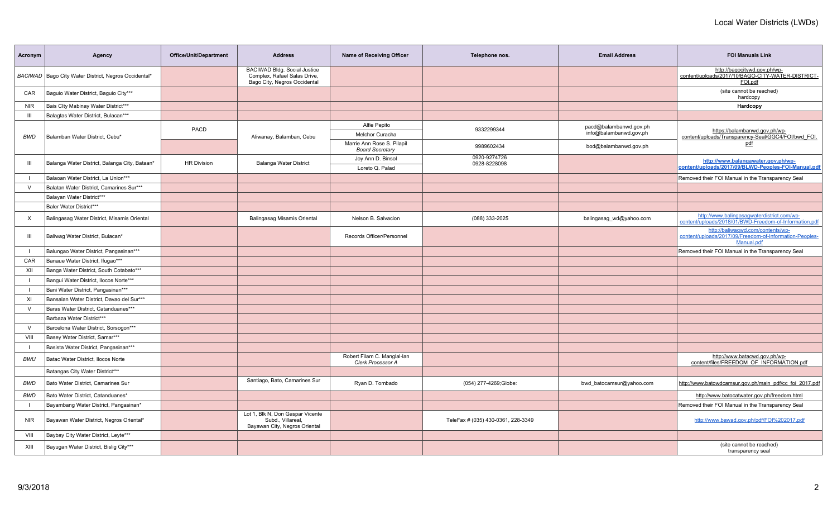| Acronym        | Agency                                                 | <b>Office/Unit/Department</b> | <b>Address</b>                                                                               | Name of Receiving Officer                            | Telephone nos.                     | <b>Email Address</b>     | <b>FOI Manuals Link</b>                                                                                    |
|----------------|--------------------------------------------------------|-------------------------------|----------------------------------------------------------------------------------------------|------------------------------------------------------|------------------------------------|--------------------------|------------------------------------------------------------------------------------------------------------|
|                | BACIWAD   Bago City Water District, Negros Occidental* |                               | BACIWAD Bldg. Social Justice<br>Complex, Rafael Salas Drive,<br>Bago City, Negros Occidental |                                                      |                                    |                          | http://bagocitywd.gov.ph/wp-<br>content/uploads/2017/10/BAGO-CITY-WATER-DISTRICT-<br>FOI.pdf               |
| CAR            | Baguio Water District, Baguio City***                  |                               |                                                                                              |                                                      |                                    |                          | (site cannot be reached)<br>hardcopy                                                                       |
| <b>NIR</b>     | Bais Clty Mabinay Water District***                    |                               |                                                                                              |                                                      |                                    |                          | Hardcopy                                                                                                   |
| Ш              | Balagtas Water District, Bulacan***                    |                               |                                                                                              |                                                      |                                    |                          |                                                                                                            |
|                |                                                        |                               |                                                                                              | Alfie Pepito                                         |                                    | pacd@balambanwd.gov.ph   |                                                                                                            |
| BWD            | Balamban Water District, Cebu*                         | PACD                          | Aliwanay, Balamban, Cebu                                                                     | <b>Melchor Curacha</b>                               | 9332299344                         | info@balambanwd.gov.ph   | https://balambanwd.gov.ph/wp-<br>content/uploads/Transparency-Seal/GGC4/FOI/bwd_FOI.                       |
|                |                                                        |                               |                                                                                              | Marrie Ann Rose S. Pilapil<br><b>Board Secretary</b> | 9989602434                         | bod@balambanwd.gov.ph    | pdf                                                                                                        |
| $\mathbf{III}$ | Balanga Water District, Balanga City, Bataan*          | <b>HR Division</b>            | Balanga Water District                                                                       | Joy Ann D. Binsol                                    | 0920-9274726<br>0928-8228098       |                          | http://www.balangawater.gov.ph/wp-                                                                         |
|                |                                                        |                               |                                                                                              | Loreto Q. Palad                                      |                                    |                          | content/uploads/2017/09/BLWD-Peoples-FOI-Manual.pdf                                                        |
| $\mathbf{I}$   | Balaoan Water District, La Union***                    |                               |                                                                                              |                                                      |                                    |                          | Removed their FOI Manual in the Transparency Seal                                                          |
| $\vee$         | Balatan Water District, Camarines Sur***               |                               |                                                                                              |                                                      |                                    |                          |                                                                                                            |
|                | Balayan Water District***                              |                               |                                                                                              |                                                      |                                    |                          |                                                                                                            |
|                | Baler Water District***                                |                               |                                                                                              |                                                      |                                    |                          |                                                                                                            |
| $\times$       | Balingasag Water District, Misamis Oriental            |                               | Balingasag Misamis Oriental                                                                  | Nelson B. Salvacion                                  | (088) 333-2025                     | balingasag_wd@yahoo.com  | http://www.balingasagwaterdistrict.com/wp-<br>content/uploads/2018/01/BWD-Freedom-of-Information.pdf       |
| $\mathbf{III}$ | Baliwag Water District, Bulacan*                       |                               |                                                                                              | Records Officer/Personnel                            |                                    |                          | http://baliwagwd.com/contents/wp-<br>content/uploads/2017/09/Freedom-of-Information-Peoples-<br>Manual.pdf |
| $\blacksquare$ | Balungao Water District, Pangasinan***                 |                               |                                                                                              |                                                      |                                    |                          | Removed their FOI Manual in the Transparency Seal                                                          |
| CAR            | Banaue Water District, Ifugao***                       |                               |                                                                                              |                                                      |                                    |                          |                                                                                                            |
| XII            | Banga Water District, South Cotabato***                |                               |                                                                                              |                                                      |                                    |                          |                                                                                                            |
|                | Bangui Water District, Ilocos Norte***                 |                               |                                                                                              |                                                      |                                    |                          |                                                                                                            |
| $\mathbf{I}$   | Bani Water District, Pangasinan***                     |                               |                                                                                              |                                                      |                                    |                          |                                                                                                            |
| XI             | Bansalan Water District, Davao del Sur***              |                               |                                                                                              |                                                      |                                    |                          |                                                                                                            |
| $\vee$         | Baras Water District, Catanduanes***                   |                               |                                                                                              |                                                      |                                    |                          |                                                                                                            |
|                | Barbaza Water District***                              |                               |                                                                                              |                                                      |                                    |                          |                                                                                                            |
| $\vee$         | Barcelona Water District, Sorsogon***                  |                               |                                                                                              |                                                      |                                    |                          |                                                                                                            |
| VIII           | Basey Water District, Samar***                         |                               |                                                                                              |                                                      |                                    |                          |                                                                                                            |
| $\blacksquare$ | Basista Water District, Pangasinan***                  |                               |                                                                                              |                                                      |                                    |                          |                                                                                                            |
| <b>BWU</b>     | Batac Water District, Ilocos Norte                     |                               |                                                                                              | Robert Filam C. Manglal-lan<br>Clerk Processor A     |                                    |                          | http://www.batacwd.gov.ph/wp-<br>content/files/FREEDOM_OF_INFORMATION.pdf                                  |
|                | Batangas City Water District***                        |                               |                                                                                              |                                                      |                                    |                          |                                                                                                            |
| BWD            | Bato Water District, Camarines Sur                     |                               | Santiago, Bato, Camarines Sur                                                                | Ryan D. Tombado                                      | (054) 277-4269;Globe:              | bwd_batocamsur@yahoo.com | http://www.batowdcamsur.gov.ph/main_pdf/cc_foi_2017.pdf                                                    |
| <b>BWD</b>     | Bato Water District. Catanduanes*                      |                               |                                                                                              |                                                      |                                    |                          | http://www.batocatwater.gov.ph/freedom.html                                                                |
|                | Bayambang Water District, Pangasinan*                  |                               |                                                                                              |                                                      |                                    |                          | Removed their FOI Manual in the Transparency Seal                                                          |
| <b>NIR</b>     | Bayawan Water District, Negros Oriental*               |                               | Lot 1, Blk N, Don Gaspar Vicente<br>Subd., Villareal,<br>Bayawan City, Negros Oriental       |                                                      | TeleFax # (035) 430-0361, 228-3349 |                          | http://www.bawad.gov.ph/pdf/FOI%202017.pdf                                                                 |
| VIII           | Baybay City Water District, Leyte***                   |                               |                                                                                              |                                                      |                                    |                          |                                                                                                            |
| XIII           | Bayugan Water District, Bislig City***                 |                               |                                                                                              |                                                      |                                    |                          | (site cannot be reached)<br>transparency seal                                                              |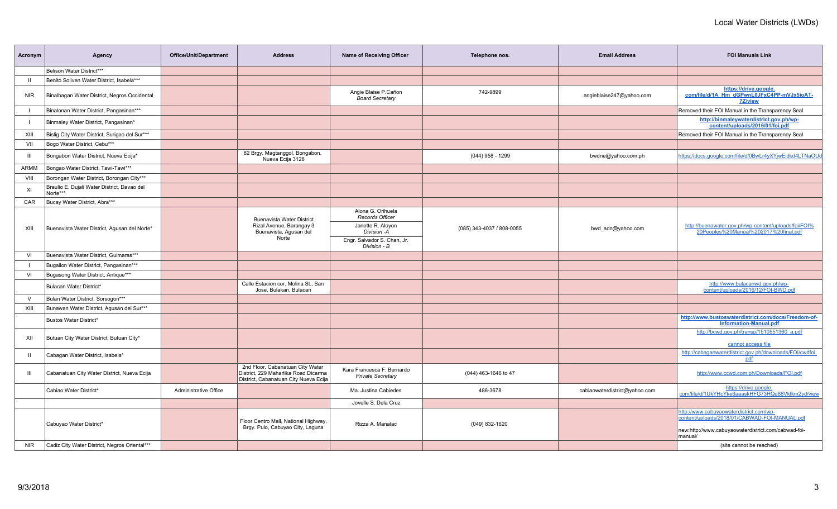| Acronym      | Agency                                                  | <b>Office/Unit/Department</b> | <b>Address</b>                                                                                                    | <b>Name of Receiving Officer</b>                       | Telephone nos.            | <b>Email Address</b>          | <b>FOI Manuals Link</b>                                                                       |
|--------------|---------------------------------------------------------|-------------------------------|-------------------------------------------------------------------------------------------------------------------|--------------------------------------------------------|---------------------------|-------------------------------|-----------------------------------------------------------------------------------------------|
|              | Belison Water District***                               |                               |                                                                                                                   |                                                        |                           |                               |                                                                                               |
| $\mathbf{H}$ | Benito Soliven Water District, Isabela***               |                               |                                                                                                                   |                                                        |                           |                               |                                                                                               |
| <b>NIR</b>   | Binalbagan Water District, Negros Occidental            |                               |                                                                                                                   | Angie Blaise P.Cañon<br><b>Board Secretary</b>         | 742-9899                  | angieblaise247@yahoo.com      | https://drive.google.<br>com/file/d/1A_Hm_dGPwnL0JFxC4PP-mVJx5ioAT-<br>7Z/view                |
|              | Binalonan Water District, Pangasinan***                 |                               |                                                                                                                   |                                                        |                           |                               | Removed their FOI Manual in the Transparency Seal                                             |
|              | Binmaley Water District, Pangasinan*                    |                               |                                                                                                                   |                                                        |                           |                               | http://binmaleywaterdistrict.gov.ph/wp-<br>content/uploads/2016/01/foi.pdf                    |
| XIII         | Bislig City Water District, Surigao del Sur***          |                               |                                                                                                                   |                                                        |                           |                               | Removed their FOI Manual in the Transparency Seal                                             |
| VII          | Bogo Water District, Cebu***                            |                               |                                                                                                                   |                                                        |                           |                               |                                                                                               |
| Ш            | Bongabon Water District, Nueva Ecija*                   |                               | 82 Brgy. Magtanggol, Bongabon,<br>Nueva Ecija 3128                                                                |                                                        | $(044)$ 958 - 1299        | bwdne@yahoo.com.ph            | https://docs.google.com/file/d/0BwLr4yXYjwEidkd4LTNaOUd                                       |
| ARMM         | Bongao Water District, Tawi-Tawi***                     |                               |                                                                                                                   |                                                        |                           |                               |                                                                                               |
| VIII         | Borongan Water District, Borongan City***               |                               |                                                                                                                   |                                                        |                           |                               |                                                                                               |
| XI           | Braulio E. Dujali Water District, Davao del<br>Norte*** |                               |                                                                                                                   |                                                        |                           |                               |                                                                                               |
| CAR          | Bucay Water District, Abra***                           |                               |                                                                                                                   |                                                        |                           |                               |                                                                                               |
|              |                                                         |                               | <b>Buenavista Water District</b>                                                                                  | Alona G. Orihuela<br>Records Officer                   |                           |                               |                                                                                               |
| XIII         | Buenavista Water District, Agusan del Norte*            |                               | Rizal Avenue, Barangay 3<br>Buenavista, Agusan del<br>Norte                                                       | Janette R. Aloyon<br>Division - A                      | (085) 343-4037 / 808-0055 | bwd adn@yahoo.com             | http://buenawater.gov.ph/wp-content/uploads/foi/FOI%<br>20Peoples%20Manual%202017%20final.pdf |
|              |                                                         |                               |                                                                                                                   | Engr. Salvador S. Chan, Jr.<br>Division - B            |                           |                               |                                                                                               |
| VI           | Buenavista Water District, Guimaras***                  |                               |                                                                                                                   |                                                        |                           |                               |                                                                                               |
|              | Bugallon Water District, Pangasinan***                  |                               |                                                                                                                   |                                                        |                           |                               |                                                                                               |
| VI           | Bugasong Water District, Antique***                     |                               |                                                                                                                   |                                                        |                           |                               |                                                                                               |
|              | Bulacan Water District*                                 |                               | Calle Estacion cor. Molina St., San<br>Jose, Bulakan, Bulacan                                                     |                                                        |                           |                               | http://www.bulacanwd.gov.ph/wp-<br>content/uploads/2016/12/FOI-BWD.pdf                        |
| V            | Bulan Water District, Sorsogon***                       |                               |                                                                                                                   |                                                        |                           |                               |                                                                                               |
| XIII         | Bunawan Water District, Agusan del Sur***               |                               |                                                                                                                   |                                                        |                           |                               |                                                                                               |
|              | Bustos Water District*                                  |                               |                                                                                                                   |                                                        |                           |                               | http://www.bustoswaterdistrict.com/docs/Freedom-of-<br><b>Information-Manual.pdf</b>          |
| XII          | Butuan City Water District, Butuan City*                |                               |                                                                                                                   |                                                        |                           |                               | http://bcwd.gov.ph/transp/1510551360 a.pdf<br>cannot access file                              |
| $\mathbf{H}$ | Cabagan Water District, Isabela*                        |                               |                                                                                                                   |                                                        |                           |                               | http://cabaqanwaterdistrict.gov.ph/downloads/FOI/cwdfoi.<br>pdf                               |
| Ш            | Cabanatuan City Water District, Nueva Ecija             |                               | 2nd Floor, Cabanatuan City Water<br>District, 229 Maharlika Road Dicarma<br>District, Cabanatuan City Nueva Ecija | Kara Francesca F. Bernardo<br><b>Private Secretary</b> | (044) 463-1646 to 47      |                               | http://www.ccwd.com.ph/Downloads/FOI.pdf                                                      |
|              | Cabiao Water District*                                  | Administrative Office         |                                                                                                                   | Ma. Justina Cabiedes                                   | 486-3678                  | cabiaowaterdistrict@yahoo.com | https://drive.google.<br>com/file/d/1UkYHcYke6aaaskHFG73HQq88Vkfkm2yd/view                    |
|              |                                                         |                               |                                                                                                                   | Jovelle S. Dela Cruz                                   |                           |                               |                                                                                               |
|              | Cabuyao Water District*                                 |                               | Floor Centro Mall, National Highway,                                                                              | Rizza A. Manalac                                       | (049) 832-1620            |                               | http://www.cabuyaowaterdistrict.com/wp-<br>content/uploads/2018/01/CABWAD-FOI-MANUAL.pdf      |
|              |                                                         |                               | Brgy. Pulo, Cabuyao City, Laguna                                                                                  |                                                        |                           |                               | new:http://www.cabuyaowaterdistrict.com/cabwad-foi-<br>manual/                                |
| <b>NIR</b>   | Cadiz City Water District, Negros Oriental***           |                               |                                                                                                                   |                                                        |                           |                               | (site cannot be reached)                                                                      |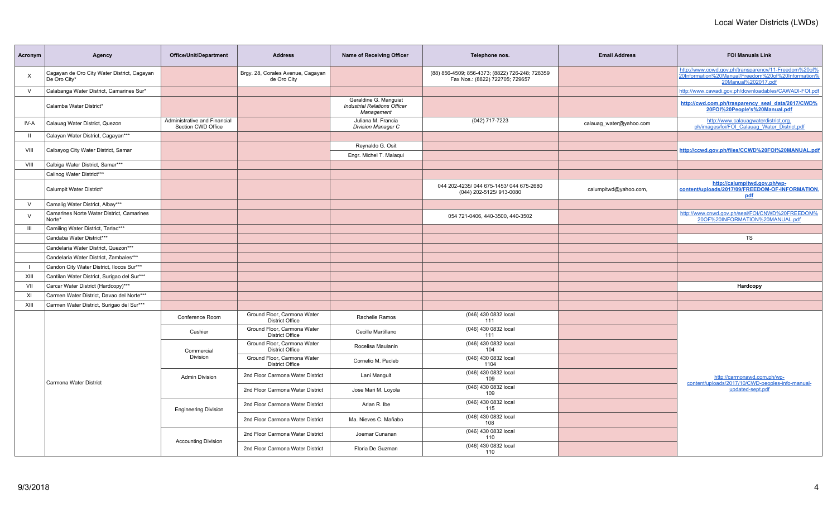| Acronym        | Agency                                                      | <b>Office/Unit/Department</b>                      | <b>Address</b>                                        | <b>Name of Receiving Officer</b>                                           | Telephone nos.                                                                     | <b>Email Address</b>    | <b>FOI Manuals Link</b>                                                                                                           |
|----------------|-------------------------------------------------------------|----------------------------------------------------|-------------------------------------------------------|----------------------------------------------------------------------------|------------------------------------------------------------------------------------|-------------------------|-----------------------------------------------------------------------------------------------------------------------------------|
| $\times$       | Cagayan de Oro City Water District, Cagayan<br>De Oro City* |                                                    | Brgy. 28, Corales Avenue, Cagayan<br>de Oro City      |                                                                            | (88) 856-4509; 856-4373; (8822) 726-248; 728359<br>Fax Nos.: (8822) 722705; 729657 |                         | http://www.cowd.gov.ph/transparency/11-Freedom%20of%<br>20Information%20Manual/Freedom%20of%20Information%<br>20Manual%202017.pdf |
| $\vee$         | Calabanga Water District, Camarines Sur*                    |                                                    |                                                       |                                                                            |                                                                                    |                         | http://www.cawadi.gov.ph/downloadables/CAWADI-FOI.pdf                                                                             |
|                | Calamba Water District*                                     |                                                    |                                                       | Geraldine G. Manquiat<br><b>Industrial Relations Officer</b><br>Management |                                                                                    |                         | http://cwd.com.ph/trasparency_seal_data/2017/CWD%<br>20FOI%20People's%20Manual.pdf                                                |
| IV-A           | Calauag Water District, Quezon                              | Administrative and Financial<br>Section CWD Office |                                                       | Juliana M. Francia<br><b>Division Manager C</b>                            | (042) 717-7223                                                                     | calauag water@yahoo.com | http://www.calauagwaterdistrict.org.<br>ph/images/foi/FOI Calauag Water District.pdf                                              |
| $\mathbf{H}$   | Calayan Water District, Cagayan***                          |                                                    |                                                       |                                                                            |                                                                                    |                         |                                                                                                                                   |
| VIII           | Calbayog City Water District, Samar                         |                                                    |                                                       | Reynaldo G. Osit                                                           |                                                                                    |                         | http://ccwd.gov.ph/files/CCWD%20FOI%20MANUAL.pdf                                                                                  |
|                |                                                             |                                                    |                                                       | Engr. Michel T. Malaqui                                                    |                                                                                    |                         |                                                                                                                                   |
| VIII           | Calbiga Water District, Samar***                            |                                                    |                                                       |                                                                            |                                                                                    |                         |                                                                                                                                   |
|                | Calinog Water District***                                   |                                                    |                                                       |                                                                            |                                                                                    |                         |                                                                                                                                   |
|                | Calumpit Water District*                                    |                                                    |                                                       |                                                                            | 044 202-4235/044 675-1453/044 675-2680<br>(044) 202-5125/ 913-0080                 | calumpitwd@yahoo.com,   | http://calumpitwd.gov.ph/wp-<br>content/uploads/2017/09/FREEDOM-OF-INFORMATION.<br>pdf                                            |
| $\vee$         | Camalig Water District, Albay***                            |                                                    |                                                       |                                                                            |                                                                                    |                         |                                                                                                                                   |
| $\vee$         | Camarines Norte Water District, Camarines<br>Norte*         |                                                    |                                                       |                                                                            | 054 721-0406, 440-3500, 440-3502                                                   |                         | http://www.cnwd.gov.ph/seal/FOI/CNWD%20FREEDOM%<br>20OF%20INFORMATION%20MANUAL.pdf                                                |
| $\mathbf{III}$ | Camiling Water District, Tarlac***                          |                                                    |                                                       |                                                                            |                                                                                    |                         |                                                                                                                                   |
|                | Candaba Water District***                                   |                                                    |                                                       |                                                                            |                                                                                    |                         | TS                                                                                                                                |
|                | Candelaria Water District, Quezon***                        |                                                    |                                                       |                                                                            |                                                                                    |                         |                                                                                                                                   |
|                | Candelaria Water District, Zambales***                      |                                                    |                                                       |                                                                            |                                                                                    |                         |                                                                                                                                   |
| $\blacksquare$ | Candon City Water District, Ilocos Sur***                   |                                                    |                                                       |                                                                            |                                                                                    |                         |                                                                                                                                   |
| XIII           | Cantilan Water District, Surigao del Sur***                 |                                                    |                                                       |                                                                            |                                                                                    |                         |                                                                                                                                   |
| VII            | Carcar Water District (Hardcopy)***                         |                                                    |                                                       |                                                                            |                                                                                    |                         | Hardcopy                                                                                                                          |
| XI             | Carmen Water District, Davao del Norte***                   |                                                    |                                                       |                                                                            |                                                                                    |                         |                                                                                                                                   |
| XIII           | Carmen Water District, Surigao del Sur***                   |                                                    |                                                       |                                                                            |                                                                                    |                         |                                                                                                                                   |
|                |                                                             | Conference Room                                    | Ground Floor, Carmona Water<br><b>District Office</b> | Rachelle Ramos                                                             | (046) 430 0832 local<br>111                                                        |                         |                                                                                                                                   |
|                |                                                             | Cashier                                            | Ground Floor, Carmona Water<br><b>District Office</b> | Cecille Martillano                                                         | (046) 430 0832 local<br>111                                                        |                         |                                                                                                                                   |
|                |                                                             | Commercial                                         | Ground Floor, Carmona Water<br><b>District Office</b> | Rocelisa Maulanin                                                          | (046) 430 0832 local<br>104                                                        |                         |                                                                                                                                   |
|                |                                                             | <b>Division</b>                                    | Ground Floor, Carmona Water<br><b>District Office</b> | Cornelio M. Pacleb                                                         | (046) 430 0832 local<br>1104                                                       |                         |                                                                                                                                   |
|                | Carmona Water District                                      | <b>Admin Division</b>                              | 2nd Floor Carmona Water District                      | Lani Manguit                                                               | (046) 430 0832 local<br>109                                                        |                         | http://carmonawd.com.ph/wp-<br>content/uploads/2017/10/CWD-peoples-info-manual-                                                   |
|                |                                                             |                                                    | 2nd Floor Carmona Water District                      | Jose Mari M. Loyola                                                        | (046) 430 0832 local<br>109                                                        |                         | updated-sept.pdf                                                                                                                  |
|                |                                                             | <b>Engineering Division</b>                        | 2nd Floor Carmona Water District                      | Arlan R. Ibe                                                               | (046) 430 0832 local<br>115                                                        |                         |                                                                                                                                   |
|                |                                                             |                                                    | 2nd Floor Carmona Water District                      | Ma. Nieves C. Mañabo                                                       | (046) 430 0832 local<br>108                                                        |                         |                                                                                                                                   |
|                |                                                             | <b>Accounting Division</b>                         | 2nd Floor Carmona Water District                      | Joemar Cunanan                                                             | (046) 430 0832 local<br>110                                                        |                         |                                                                                                                                   |
|                |                                                             |                                                    | 2nd Floor Carmona Water District                      | Floria De Guzman                                                           | (046) 430 0832 local<br>110                                                        |                         |                                                                                                                                   |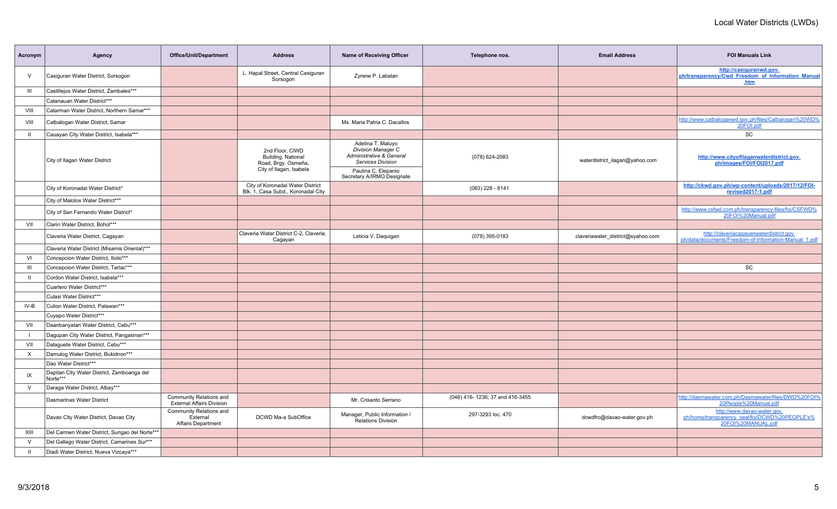| Acronym        | Agency                                                 | <b>Office/Unit/Department</b>                                    | <b>Address</b>                                                                          | Name of Receiving Officer                                                                              | Telephone nos.                  | <b>Email Address</b>              | <b>FOI Manuals Link</b>                                                                             |
|----------------|--------------------------------------------------------|------------------------------------------------------------------|-----------------------------------------------------------------------------------------|--------------------------------------------------------------------------------------------------------|---------------------------------|-----------------------------------|-----------------------------------------------------------------------------------------------------|
| $\vee$         | Casiguran Water District, Sorsogon                     |                                                                  | L. Hapal Street, Central Casiguran<br>Sorsogon                                          | Zyrene P. Labalan                                                                                      |                                 |                                   | http://casiguranwd.gov.<br>ph/transparency/Cwd Freedom of Information Manual<br>.htm                |
| $\mathbf{III}$ | Castillejos Water District, Zambales***                |                                                                  |                                                                                         |                                                                                                        |                                 |                                   |                                                                                                     |
|                | Catanauan Water District***                            |                                                                  |                                                                                         |                                                                                                        |                                 |                                   |                                                                                                     |
| VIII           | Catarman Water District, Northern Samar***             |                                                                  |                                                                                         |                                                                                                        |                                 |                                   |                                                                                                     |
| VIII           | Catbalogan Water District, Samar                       |                                                                  |                                                                                         | Ms. Maria Patria C. Dacallos                                                                           |                                 |                                   | http://www.catbaloganwd.gov.ph/files/Catbalogan%20WD%<br>20FOI.pdf                                  |
| $\mathbf{H}$   | Cauayan City Water District, Isabela***                |                                                                  |                                                                                         |                                                                                                        |                                 |                                   | SC                                                                                                  |
|                | City of Ilagan Water District                          |                                                                  | 2nd Floor, CIWD<br>Building, National<br>Road, Brgy. Osmeña,<br>City of Ilagan, Isabela | Adelina T. Maluyo<br><b>Division Manager C</b><br>Administrative & General<br><b>Services Division</b> | (078) 624-2083                  | waterdistrict_ilagan@yahoo.com    | http://www.cityofilaganwaterdistrict.gov.<br>ph/images/FOI/FOI2017.pdf                              |
|                |                                                        |                                                                  |                                                                                         | Paulina C. Elepanio<br>Secretary A/IRMO Designate                                                      |                                 |                                   |                                                                                                     |
|                | City of Koronadal Water District*                      |                                                                  | City of Koronadal Water District<br>Blk. 1, Casa Subd., Koronadal City                  |                                                                                                        | $(083)$ 228 - 8141              |                                   | http://ckwd.gov.ph/wp-content/uploads/2017/12/FOI-<br>revised2017-1.pdf                             |
|                | City of Malolos Water District***                      |                                                                  |                                                                                         |                                                                                                        |                                 |                                   |                                                                                                     |
|                | City of San Fernando Water District*                   |                                                                  |                                                                                         |                                                                                                        |                                 |                                   | http://www.csfwd.com.ph/transparency-files/foi/CSFWD%<br>20FOI%20Manual.pdf                         |
| VII            | Clarin Water District, Bohol***                        |                                                                  |                                                                                         |                                                                                                        |                                 |                                   |                                                                                                     |
|                | Claveria Water District, Cagayan                       |                                                                  | Claveria Water District C-2, Claveria,<br>Cagayan                                       | Leticia V. Daquigan                                                                                    | (078) 395-0183                  | claveriawater_district@syahoo.com | http://claveriacagayanwaterdistrict.gov.<br>ph/data/documents/Freedom-of-Information-Manual 1.pdf   |
|                | Claveria Water District (Misamis Oriental)***          |                                                                  |                                                                                         |                                                                                                        |                                 |                                   |                                                                                                     |
| VI             | Concepcion Water District, Iloilo***                   |                                                                  |                                                                                         |                                                                                                        |                                 |                                   |                                                                                                     |
| $\mathbf{III}$ | Concepcion Water District, Tarlac***                   |                                                                  |                                                                                         |                                                                                                        |                                 |                                   | <b>SC</b>                                                                                           |
| $\mathbf{H}$   | Cordon Water District, Isabela***                      |                                                                  |                                                                                         |                                                                                                        |                                 |                                   |                                                                                                     |
|                | Cuartero Water District***                             |                                                                  |                                                                                         |                                                                                                        |                                 |                                   |                                                                                                     |
|                | Culasi Water District***                               |                                                                  |                                                                                         |                                                                                                        |                                 |                                   |                                                                                                     |
| IV-B           | Culion Water District, Palawan***                      |                                                                  |                                                                                         |                                                                                                        |                                 |                                   |                                                                                                     |
|                | Cuyapo Water District***                               |                                                                  |                                                                                         |                                                                                                        |                                 |                                   |                                                                                                     |
| VII            | Daanbanyatan Water District, Cebu***                   |                                                                  |                                                                                         |                                                                                                        |                                 |                                   |                                                                                                     |
|                | Dagupan City Water District, Pangasinan***             |                                                                  |                                                                                         |                                                                                                        |                                 |                                   |                                                                                                     |
| VII            | Dalaguete Water District, Cebu***                      |                                                                  |                                                                                         |                                                                                                        |                                 |                                   |                                                                                                     |
| $\times$       | Damulog Water District, Bukidnon***                    |                                                                  |                                                                                         |                                                                                                        |                                 |                                   |                                                                                                     |
|                | Dao Water District***                                  |                                                                  |                                                                                         |                                                                                                        |                                 |                                   |                                                                                                     |
| IX             | Dapitan City Water District, Zamboanga del<br>Norte*** |                                                                  |                                                                                         |                                                                                                        |                                 |                                   |                                                                                                     |
| $\vee$         | Daraga Water District, Albay***                        |                                                                  |                                                                                         |                                                                                                        |                                 |                                   |                                                                                                     |
|                | Dasmarinas Water District                              | Community Relations and<br><b>External Affairs Division</b>      |                                                                                         | Mr. Crisanto Serrano                                                                                   | (046) 416-1236; 37 and 416-3455 |                                   | http://dasmawater.com.ph/Dasmawater/files/DWD%20FOI%<br>20People%20Manual.pdf                       |
|                | Davao City Water District, Davao City                  | Community Relations and<br>External<br><b>Affairs Department</b> | DCWD Ma-a SubOffice                                                                     | Manager, Public Information /<br><b>Relations Division</b>                                             | 297-3293 loc. 470               | dcwdfro@davao-water.gov.ph        | http://www.davao-water.gov.<br>ph/home/transparency_seal/foi/DCWD%20PEOPLE's%<br>20FOI%20MANUAL.pdf |
| XIII           | Del Carmen Water District, Surigao del Norte***        |                                                                  |                                                                                         |                                                                                                        |                                 |                                   |                                                                                                     |
| $\vee$         | Del Gallego Water District, Camarines Sur***           |                                                                  |                                                                                         |                                                                                                        |                                 |                                   |                                                                                                     |
| $\mathbf{H}$   | Diadi Water District, Nueva Vizcaya***                 |                                                                  |                                                                                         |                                                                                                        |                                 |                                   |                                                                                                     |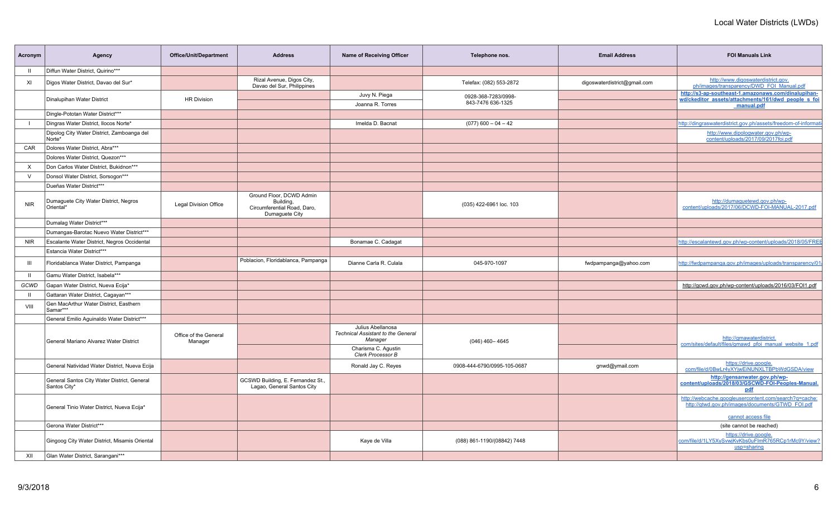| Acronym    | Agency                                                      | Office/Unit/Department           | <b>Address</b>                                                                         | Name of Receiving Officer                                                 | Telephone nos.                           | <b>Email Address</b>         | <b>FOI Manuals Link</b>                                                                                                  |
|------------|-------------------------------------------------------------|----------------------------------|----------------------------------------------------------------------------------------|---------------------------------------------------------------------------|------------------------------------------|------------------------------|--------------------------------------------------------------------------------------------------------------------------|
|            | Diffun Water District, Quirino***                           |                                  |                                                                                        |                                                                           |                                          |                              |                                                                                                                          |
| XI         | Digos Water District, Davao del Sur*                        |                                  | Rizal Avenue, Digos City,<br>Davao del Sur, Philippines                                |                                                                           | Telefax: (082) 553-2872                  | digoswaterdistrict@gmail.com | http://www.digoswaterdistrict.gov.<br>ph/images/transparency/DWD_FOI_Manual.pdf                                          |
|            | Dinalupihan Water District                                  | <b>HR Division</b>               |                                                                                        | Juvy N. Piega<br>Joanna R. Torres                                         | 0928-368-7283/0998-<br>843-7476 636-1325 |                              | http://s3-ap-southeast-1.amazonaws.com/dinalupihan-<br>wd/ckeditor assets/attachments/161/dwd people s foi<br>manual.pdf |
|            | Dingle-Pototan Water District***                            |                                  |                                                                                        |                                                                           |                                          |                              |                                                                                                                          |
|            | Dingras Water District, Ilocos Norte*                       |                                  |                                                                                        | Imelda D. Bacnat                                                          | $(077)$ 600 - 04 - 42                    |                              | http://dingraswaterdistrict.gov.ph/assets/freedom-of-informat                                                            |
|            | Dipolog City Water District, Zamboanga del<br>Norte*        |                                  |                                                                                        |                                                                           |                                          |                              | http://www.dipologwater.gov.ph/wp-<br>content/uploads/2017/09/2017foi.pdf                                                |
| CAR        | Dolores Water District, Abra***                             |                                  |                                                                                        |                                                                           |                                          |                              |                                                                                                                          |
|            | Dolores Water District, Quezon***                           |                                  |                                                                                        |                                                                           |                                          |                              |                                                                                                                          |
| X          | Don Carlos Water District, Bukidnon***                      |                                  |                                                                                        |                                                                           |                                          |                              |                                                                                                                          |
| v          | Donsol Water District, Sorsogon***                          |                                  |                                                                                        |                                                                           |                                          |                              |                                                                                                                          |
|            | Dueñas Water District***                                    |                                  |                                                                                        |                                                                           |                                          |                              |                                                                                                                          |
| <b>NIR</b> | Dumaguete City Water District, Negros<br>Oriental*          | <b>Legal Division Office</b>     | Ground Floor, DCWD Admin<br>Building,<br>Circumferential Road, Daro,<br>Dumaguete City |                                                                           | (035) 422-6961 loc. 103                  |                              | http://dumaquetewd.gov.ph/wp-<br>content/uploads/2017/06/DCWD-FOI-MANUAL-2017.pdf                                        |
|            | Dumalag Water District***                                   |                                  |                                                                                        |                                                                           |                                          |                              |                                                                                                                          |
|            | Dumangas-Barotac Nuevo Water District***                    |                                  |                                                                                        |                                                                           |                                          |                              |                                                                                                                          |
| <b>NIR</b> | Escalante Water District, Negros Occidental                 |                                  |                                                                                        | Bonamae C. Cadagat                                                        |                                          |                              | http://escalantewd.gov.ph/wp-content/uploads/2018/05/FREE                                                                |
|            | Estancia Water District***                                  |                                  |                                                                                        |                                                                           |                                          |                              |                                                                                                                          |
| Ш          | Floridablanca Water District, Pampanga                      |                                  | Poblacion, Floridablanca, Pampanga                                                     | Dianne Carla R. Culala                                                    | 045-970-1097                             | fwdpampanga@yahoo.com        | http://fwdpampanga.gov.ph/images/uploads/transparency/01                                                                 |
|            | Gamu Water District. Isabela***                             |                                  |                                                                                        |                                                                           |                                          |                              |                                                                                                                          |
| GCWD       | Gapan Water District, Nueva Ecija*                          |                                  |                                                                                        |                                                                           |                                          |                              | http://gcwd.gov.ph/wp-content/uploads/2016/03/FOI1.pdf                                                                   |
|            | Gattaran Water District, Cagayan***                         |                                  |                                                                                        |                                                                           |                                          |                              |                                                                                                                          |
| VIII       | Gen MacArthur Water District, Easthern<br>Samar***          |                                  |                                                                                        |                                                                           |                                          |                              |                                                                                                                          |
|            | General Emilio Aguinaldo Water District***                  |                                  |                                                                                        |                                                                           |                                          |                              |                                                                                                                          |
|            | General Mariano Alvarez Water District                      | Office of the General<br>Manager |                                                                                        | Julius Abellanosa<br><b>Technical Assistant to the General</b><br>Manager | $(046)$ 460 - 4645                       |                              | http://gmawaterdistrict.<br>com/sites/default/files/gmawd pfoi manual website 1.pdf                                      |
|            |                                                             |                                  |                                                                                        | Charisma C. Agustin<br>Clerk Processor B                                  |                                          |                              |                                                                                                                          |
|            | General Natividad Water District, Nueva Ecija               |                                  |                                                                                        | Ronald Jay C. Reyes                                                       | 0908-444-6790/0995-105-0687              | gnwd@ymail.com               | https://drive.google.<br>com/file/d/0BwLr4yXYjwEiNUNXLTBPbWdGSDA/view                                                    |
|            | General Santos City Water District, General<br>Santos City* |                                  | GCSWD Building, E. Fernandez St.,<br>Lagao, General Santos City                        |                                                                           |                                          |                              | http://gensanwater.gov.ph/wp-<br>content/uploads/2018/03/GSCWD-FOI-Peoples-Manual.<br>pdf                                |
|            | General Tinio Water District, Nueva Ecija*                  |                                  |                                                                                        |                                                                           |                                          |                              | http://webcache.googleusercontent.com/search?q=cache:<br>http://gtwd.gov.ph/images/documents/GTWD_FOI.pdf                |
|            | Gerona Water District***                                    |                                  |                                                                                        |                                                                           |                                          |                              | cannot access file<br>(site cannot be reached)                                                                           |
|            | Gingoog City Water District, Misamis Oriental               |                                  |                                                                                        | Kaye de Villa                                                             | (088) 861-1190/(08842) 7448              |                              | https://drive.google.<br>com/file/d/1LY5XySvwjKvKbs0uFImR765RCp1rMc9Y/view?<br>usp=sharing                               |
| XII        | Glan Water District, Sarangani***                           |                                  |                                                                                        |                                                                           |                                          |                              |                                                                                                                          |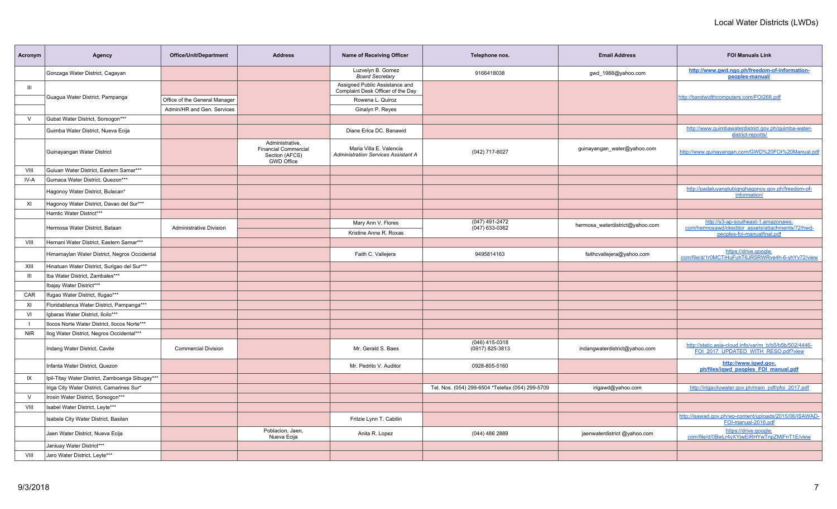| Acronym        | Agency                                          | <b>Office/Unit/Department</b>  | <b>Address</b>                                                                        | <b>Name of Receiving Officer</b>                                      | Telephone nos.                                   | <b>Email Address</b>            | <b>FOI Manuals Link</b>                                                                       |
|----------------|-------------------------------------------------|--------------------------------|---------------------------------------------------------------------------------------|-----------------------------------------------------------------------|--------------------------------------------------|---------------------------------|-----------------------------------------------------------------------------------------------|
|                | Gonzaga Water District, Cagayan                 |                                |                                                                                       | Luzvelyn B. Gomez<br><b>Board Secretary</b>                           | 9166418038                                       | gwd 1988@yahoo.com              | http://www.gwd.ngo.ph/freedom-of-information-<br>peoples-manual/                              |
| $\mathbf{III}$ |                                                 |                                |                                                                                       | Assigned Public Assistance and<br>Complaint Desk Officer of the Day   |                                                  |                                 |                                                                                               |
|                | Guagua Water District, Pampanga                 | Office of the General Manager  |                                                                                       | Rowena L. Quiroz                                                      |                                                  |                                 | http://bandwidthcomputers.com/FOI268.pdf                                                      |
|                |                                                 | Admin/HR and Gen. Services     |                                                                                       | Ginalyn P. Reyes                                                      |                                                  |                                 |                                                                                               |
| $\vee$         | Gubat Water District, Sorsogon***               |                                |                                                                                       |                                                                       |                                                  |                                 |                                                                                               |
|                | Guimba Water District, Nueva Ecija              |                                |                                                                                       | Diane Erica DC. Banawid                                               |                                                  |                                 | http://www.guimbawaterdistrict.gov.ph/guimba-water-<br>district-reports/                      |
|                | Guinayangan Water District                      |                                | Administrative,<br><b>Financial Commercial</b><br>Section (AFCS)<br><b>GWD Office</b> | Maria Villa E. Valencia<br><b>Administration Services Assistant A</b> | (042) 717-6027                                   | guinayangan_water@yahoo.com     | http://www.quinayangan.com/GWD%20FOI%20Manual.pdf                                             |
| VIII           | Guiuan Water District. Eastern Samar***         |                                |                                                                                       |                                                                       |                                                  |                                 |                                                                                               |
| IV-A           | Gumaca Water District, Quezon***                |                                |                                                                                       |                                                                       |                                                  |                                 |                                                                                               |
|                | Hagonoy Water District, Bulacan*                |                                |                                                                                       |                                                                       |                                                  |                                 | http://padaluyangtubignghagonoy.gov.ph/freedom-of-<br>information/                            |
| XI             | Hagonoy Water District, Davao del Sur***        |                                |                                                                                       |                                                                       |                                                  |                                 |                                                                                               |
|                | Hamtic Water District***                        |                                |                                                                                       |                                                                       |                                                  |                                 |                                                                                               |
|                | Hermosa Water District, Bataan                  | <b>Administrative Division</b> |                                                                                       | Mary Ann V. Flores<br>Kristine Anne R. Roxas                          | (047) 491-2472<br>$(047)$ 633-0362               | hermosa waterdistrict@yahoo.com | http://s3-ap-southeast-1.amazonaws.<br>com/hermosawd/ckeditor_assets/attachments/72/hwd-      |
| VIII           | Hernani Water District, Eastern Samar***        |                                |                                                                                       |                                                                       |                                                  |                                 | peoples-foi-manualfinal.pdf                                                                   |
|                | Himamaylan Water District, Negros Occidental    |                                |                                                                                       | Faith C. Vallejera                                                    | 9495814163                                       | faithcvallejera@yahoo.com       | https://drive.google.<br>com/file/d/1r0MCTiHuFuhT6JR5RWRve4h-6-yhYv72/view                    |
| XIII           | Hinatuan Water District, Surigao del Sur***     |                                |                                                                                       |                                                                       |                                                  |                                 |                                                                                               |
| $\mathbf{III}$ | Iba Water District, Zambales***                 |                                |                                                                                       |                                                                       |                                                  |                                 |                                                                                               |
|                | Ibajay Water District***                        |                                |                                                                                       |                                                                       |                                                  |                                 |                                                                                               |
| CAR            | Ifugao Water District, Ifugao***                |                                |                                                                                       |                                                                       |                                                  |                                 |                                                                                               |
| XI             | Floridablanca Water District, Pampanga***       |                                |                                                                                       |                                                                       |                                                  |                                 |                                                                                               |
| VI             | Igbaras Water District, Iloilo***               |                                |                                                                                       |                                                                       |                                                  |                                 |                                                                                               |
| $\blacksquare$ | Ilocos Norte Water District, Ilocos Norte***    |                                |                                                                                       |                                                                       |                                                  |                                 |                                                                                               |
| <b>NIR</b>     | Ilog Water District, Negros Occidental***       |                                |                                                                                       |                                                                       |                                                  |                                 |                                                                                               |
|                | Indang Water District, Cavite                   | <b>Commercial Division</b>     |                                                                                       | Mr. Gerald S. Baes                                                    | (046) 415-0318<br>(0917) 825-3813                | indangwaterdistrict@yahoo.com   | http://static.asia-cloud.info/var/m_b/b5/b5b/502/4446-<br>FOI 2017 UPDATED WITH RESO.pdf?view |
|                | Infanta Water District, Quezon                  |                                |                                                                                       | Mr. Pedrito V. Auditor                                                | 0928-805-5160                                    |                                 | http://www.iqwd.gov.<br>ph/files/igwd peoples FOI manual.pdf                                  |
| IX             | Ipil-Titay Water District, Zamboanga Sibugay*** |                                |                                                                                       |                                                                       |                                                  |                                 |                                                                                               |
|                | Iriga City Water District, Camarines Sur*       |                                |                                                                                       |                                                                       | Tel. Nos. (054) 299-6504 *Telefax (054) 299-5709 | irigawd@yahoo.com               | http://irigacitywater.gov.ph/main_pdf/pfoi_2017.pdf                                           |
| $\vee$         | Irosin Water District, Sorsogon***              |                                |                                                                                       |                                                                       |                                                  |                                 |                                                                                               |
| VIII           | Isabel Water District, Leyte***                 |                                |                                                                                       |                                                                       |                                                  |                                 |                                                                                               |
|                | Isabela City Water District, Basilan            |                                |                                                                                       | Fritzie Lynn T. Cabilin                                               |                                                  |                                 | http://isawad.gov.ph/wp-content/uploads/2015/06/ISAWAD-<br>FOI-manual-2016.pdf                |
|                | Jaen Water District, Nueva Ecija                |                                | Poblacion, Jaen,<br>Nueva Ecija                                                       | Anita R. Lopez                                                        | (044) 486 2889                                   | jaenwaterdistrict @yahoo.com    | https://drive.google.<br>com/file/d/0BwLr4yXYjwEiRHYwTnpZMjFnT1E/view                         |
|                | Janiuay Water District***                       |                                |                                                                                       |                                                                       |                                                  |                                 |                                                                                               |
| VIII           | Jaro Water District, Leyte***                   |                                |                                                                                       |                                                                       |                                                  |                                 |                                                                                               |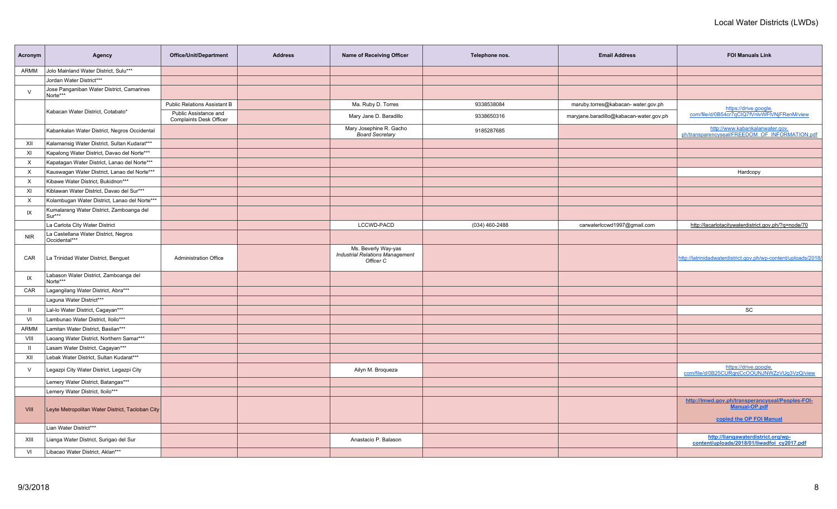| Acronym    | Agency                                                | Office/Unit/Department                                  | <b>Address</b> | Name of Receiving Officer                                                  | Telephone nos. | <b>Email Address</b>                    | <b>FOI Manuals Link</b>                                                                       |
|------------|-------------------------------------------------------|---------------------------------------------------------|----------------|----------------------------------------------------------------------------|----------------|-----------------------------------------|-----------------------------------------------------------------------------------------------|
| ARMM       | Jolo Mainland Water District, Sulu***                 |                                                         |                |                                                                            |                |                                         |                                                                                               |
|            | Jordan Water District***                              |                                                         |                |                                                                            |                |                                         |                                                                                               |
| $\vee$     | Jose Panganiban Water District, Camarines<br>Norte*** |                                                         |                |                                                                            |                |                                         |                                                                                               |
|            |                                                       | <b>Public Relations Assistant B</b>                     |                | Ma. Ruby D. Torres                                                         | 9338538084     | maruby.torres@kabacan- water.gov.ph     | https://drive.google.                                                                         |
|            | Kabacan Water District, Cotabato*                     | Public Assistance and<br><b>Complaints Desk Officer</b> |                | Mary Jane D. Baradillo                                                     | 9338650316     | maryjane.baradillo@kabacan-water.gov.ph | com/file/d/0B54cr7qCIQ7fVnlvWFIVNjFRenM/view                                                  |
|            | Kabankalan Water District, Negros Occidental          |                                                         |                | Mary Josephine R. Gacho<br><b>Board Secretary</b>                          | 9185287685     |                                         | http://www.kabankalanwater.gov.<br>ph/transparencyseal/FREEDOM OF INFORMATION.pdf             |
| XII        | Kalamansig Water District, Sultan Kudarat***          |                                                         |                |                                                                            |                |                                         |                                                                                               |
| XI         | Kapalong Water District, Davao del Norte***           |                                                         |                |                                                                            |                |                                         |                                                                                               |
| $\times$   | Kapatagan Water District, Lanao del Norte***          |                                                         |                |                                                                            |                |                                         |                                                                                               |
| X          | Kauswagan Water District, Lanao del Norte***          |                                                         |                |                                                                            |                |                                         | Hardcopy                                                                                      |
| X          | Kibawe Water District, Bukidnon***                    |                                                         |                |                                                                            |                |                                         |                                                                                               |
| XI         | Kiblawan Water District, Davao del Sur***             |                                                         |                |                                                                            |                |                                         |                                                                                               |
| $\times$   | Kolambugan Water District, Lanao del Norte***         |                                                         |                |                                                                            |                |                                         |                                                                                               |
| IX         | Kumalarang Water District, Zamboanga del<br>Sur***    |                                                         |                |                                                                            |                |                                         |                                                                                               |
|            | La Carlota City Water District                        |                                                         |                | LCCWD-PACD                                                                 | (034) 460-2488 | carwaterlccwd1997@gmail.com             | http://lacarlotacitywaterdistrict.gov.ph/?q=node/70                                           |
| <b>NIR</b> | La Castellana Water District, Negros<br>Occidental*** |                                                         |                |                                                                            |                |                                         |                                                                                               |
| CAR        | La Trinidad Water District, Benguet                   | <b>Administration Office</b>                            |                | Ms. Beverly Way-yas<br><b>Industrial Relations Management</b><br>Officer C |                |                                         | http://latrinidadwaterdistrict.gov.ph/wp-content/uploads/2018/                                |
| IX         | Labason Water District, Zamboanga del<br>Norte***     |                                                         |                |                                                                            |                |                                         |                                                                                               |
| CAR        | Lagangilang Water District, Abra***                   |                                                         |                |                                                                            |                |                                         |                                                                                               |
|            | Laguna Water District***                              |                                                         |                |                                                                            |                |                                         |                                                                                               |
| - 11       | Lal-lo Water District, Cagayan***                     |                                                         |                |                                                                            |                |                                         | SC                                                                                            |
| VI         | Lambunao Water District, Iloilo***                    |                                                         |                |                                                                            |                |                                         |                                                                                               |
| ARMM       | Lamitan Water District, Basilan***                    |                                                         |                |                                                                            |                |                                         |                                                                                               |
| VIII       | Laoang Water District, Northern Samar***              |                                                         |                |                                                                            |                |                                         |                                                                                               |
| H          | Lasam Water District, Cagayan***                      |                                                         |                |                                                                            |                |                                         |                                                                                               |
| XII        | Lebak Water District, Sultan Kudarat***               |                                                         |                |                                                                            |                |                                         |                                                                                               |
| $\vee$     | Legazpi City Water District, Legazpi City             |                                                         |                | Ailyn M. Broqueza                                                          |                |                                         | https://drive.google.<br>com/file/d/0B25CURgnjCcOOUNJNWZzVUg3VzQ/view                         |
|            | Lemery Water District, Batangas***                    |                                                         |                |                                                                            |                |                                         |                                                                                               |
|            | Lemery Water District, Iloilo***                      |                                                         |                |                                                                            |                |                                         |                                                                                               |
| VIII       | Leyte Metropolitan Water District, Tacloban City      |                                                         |                |                                                                            |                |                                         | http://lmwd.gov.ph/transperancyseal/Peoples-FOI-<br>Manual-OP.pdf<br>copied the OP FOI Manual |
|            | Lian Water District***                                |                                                         |                |                                                                            |                |                                         |                                                                                               |
| XIII       | Lianga Water District, Surigao del Sur                |                                                         |                | Anastacio P. Balason                                                       |                |                                         | http://liangawaterdistrict.org/wp-<br>content/uploads/2018/01/liwadfoi cy2017.pdf             |
| VI         | Libacao Water District, Aklan***                      |                                                         |                |                                                                            |                |                                         |                                                                                               |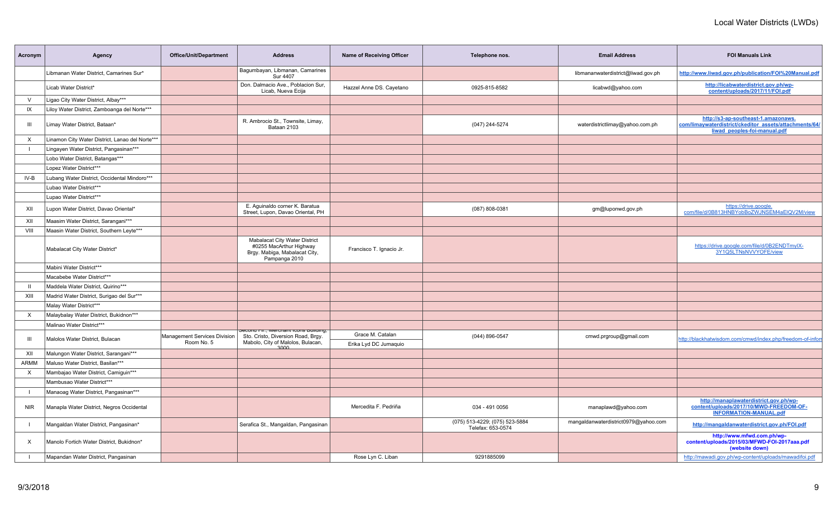| Acronym      | Agency                                          | Office/Unit/Department                     | <b>Address</b>                                                                                                              | <b>Name of Receiving Officer</b>          | Telephone nos.                                      | <b>Email Address</b>                 | <b>FOI Manuals Link</b>                                                                                                       |
|--------------|-------------------------------------------------|--------------------------------------------|-----------------------------------------------------------------------------------------------------------------------------|-------------------------------------------|-----------------------------------------------------|--------------------------------------|-------------------------------------------------------------------------------------------------------------------------------|
|              | Libmanan Water District, Camarines Sur*         |                                            | Bagumbayan, Libmanan, Camarines<br><b>Sur 4407</b>                                                                          |                                           |                                                     | libmananwaterdistrict@liwad.gov.ph   | http://www.liwad.gov.ph/publication/FOI%20Manual.pdf                                                                          |
|              | Licab Water District*                           |                                            | Don. Dalmacio Ave., Poblacion Sur,<br>Licab, Nueva Ecija                                                                    | Hazzel Anne DS. Cayetano                  | 0925-815-8582                                       | licabwd@yahoo.com                    | http://licabwaterdistrict.gov.ph/wp-<br>content/uploads/2017/11/FOI.pdf                                                       |
| $\vee$       | Ligao City Water District, Albay***             |                                            |                                                                                                                             |                                           |                                                     |                                      |                                                                                                                               |
| IX           | Liloy Water District, Zamboanga del Norte***    |                                            |                                                                                                                             |                                           |                                                     |                                      |                                                                                                                               |
| Ш            | Limay Water District, Bataan*                   |                                            | R. Ambrocio St., Townsite, Limay,<br>Bataan 2103                                                                            |                                           | (047) 244-5274                                      | waterdistrictlimay@yahoo.com.ph      | http://s3-ap-southeast-1.amazonaws.<br>com/limaywaterdistrict/ckeditor_assets/attachments/64/<br>liwad peoples-foi-manual.pdf |
| X            | Linamon City Water District, Lanao del Norte*** |                                            |                                                                                                                             |                                           |                                                     |                                      |                                                                                                                               |
|              | Lingayen Water District, Pangasinan***          |                                            |                                                                                                                             |                                           |                                                     |                                      |                                                                                                                               |
|              | Lobo Water District, Batangas***                |                                            |                                                                                                                             |                                           |                                                     |                                      |                                                                                                                               |
|              | Lopez Water District***                         |                                            |                                                                                                                             |                                           |                                                     |                                      |                                                                                                                               |
| IV-B         | Lubang Water District, Occidental Mindoro***    |                                            |                                                                                                                             |                                           |                                                     |                                      |                                                                                                                               |
|              | Lubao Water District***                         |                                            |                                                                                                                             |                                           |                                                     |                                      |                                                                                                                               |
|              | Lupao Water District***                         |                                            |                                                                                                                             |                                           |                                                     |                                      |                                                                                                                               |
| XII          | Lupon Water District, Davao Oriental*           |                                            | E. Aguinaldo corner K. Baratua<br>Street, Lupon, Davao Oriental, PH                                                         |                                           | (087) 808-0381                                      | gm@luponwd.gov.ph                    | https://drive.google.<br>com/file/d/0B813HNBYobBoZWJNSEM4aElQV2M/view                                                         |
| XII          | Maasim Water District, Sarangani***             |                                            |                                                                                                                             |                                           |                                                     |                                      |                                                                                                                               |
| VIII         | Maasin Water District, Southern Leyte***        |                                            |                                                                                                                             |                                           |                                                     |                                      |                                                                                                                               |
|              | Mabalacat City Water District*                  |                                            | Mabalacat City Water District<br>#0255 MacArthur Highway<br>Brgy. Mabiga, Mabalacat City,<br>Pampanga 2010                  | Francisco T. Ignacio Jr.                  |                                                     |                                      | https://drive.google.com/file/d/0B2ENDTmylX-<br>3Y1Q5LTNsNVVYOFE/view                                                         |
|              | Mabini Water District***                        |                                            |                                                                                                                             |                                           |                                                     |                                      |                                                                                                                               |
|              | Macabebe Water District***                      |                                            |                                                                                                                             |                                           |                                                     |                                      |                                                                                                                               |
| $\mathbf{H}$ | Maddela Water District, Quirino***              |                                            |                                                                                                                             |                                           |                                                     |                                      |                                                                                                                               |
| XIII         | Madrid Water District, Surigao del Sur***       |                                            |                                                                                                                             |                                           |                                                     |                                      |                                                                                                                               |
|              | Malay Water District***                         |                                            |                                                                                                                             |                                           |                                                     |                                      |                                                                                                                               |
| $\times$     | Malaybalay Water District, Bukidnon***          |                                            |                                                                                                                             |                                           |                                                     |                                      |                                                                                                                               |
|              | Malinao Water District***                       |                                            |                                                                                                                             |                                           |                                                     |                                      |                                                                                                                               |
| Ш            | Malolos Water District, Bulacan                 | Management Services Division<br>Room No. 5 | secona Fir., iviercriant icons puiluing,<br>Sto. Cristo, Diversion Road, Brgy.<br>Mabolo, City of Malolos, Bulacan,<br>مممع | Grace M. Catalan<br>Erika Lyd DC Jumaquio | (044) 896-0547                                      | cmwd.prgroup@gmail.com               | http://blackhatwisdom.com/cmwd/index.php/freedom-of-infor                                                                     |
| XII          | Malungon Water District, Sarangani***           |                                            |                                                                                                                             |                                           |                                                     |                                      |                                                                                                                               |
| ARMM         | Maluso Water District, Basilan***               |                                            |                                                                                                                             |                                           |                                                     |                                      |                                                                                                                               |
| X            | Mambajao Water District, Camiguin***            |                                            |                                                                                                                             |                                           |                                                     |                                      |                                                                                                                               |
|              | Mambusao Water District***                      |                                            |                                                                                                                             |                                           |                                                     |                                      |                                                                                                                               |
| $\mathbf{I}$ | Manaoag Water District, Pangasinan***           |                                            |                                                                                                                             |                                           |                                                     |                                      |                                                                                                                               |
| <b>NIR</b>   | Manapla Water District, Negros Occidental       |                                            |                                                                                                                             | Mercedita F. Pedriña                      | 034 - 491 0056                                      | manaplawd@yahoo.com                  | http://manaplawaterdistrict.gov.ph/wp-<br>content/uploads/2017/10/MWD-FREEDOM-OF-<br><b>INFORMATION-MANUAL.pdf</b>            |
|              | Mangaldan Water District, Pangasinan*           |                                            | Serafica St., Mangaldan, Pangasinan                                                                                         |                                           | (075) 513-4229; (075) 523-5884<br>Telefax: 653-0574 | mangaldanwaterdistrict0979@yahoo.com | http://mangaldanwaterdistrict.gov.ph/FOI.pdf                                                                                  |
| X            | Manolo Fortich Water District, Bukidnon*        |                                            |                                                                                                                             |                                           |                                                     |                                      | http://www.mfwd.com.ph/wp-<br>content/uploads/2015/03/MFWD-FOI-2017aaa.pdf<br>(website down)                                  |
|              | Mapandan Water District, Pangasinan             |                                            |                                                                                                                             | Rose Lyn C. Liban                         | 9291885099                                          |                                      | http://mawadi.gov.ph/wp-content/uploads/mawadifoi.pdf                                                                         |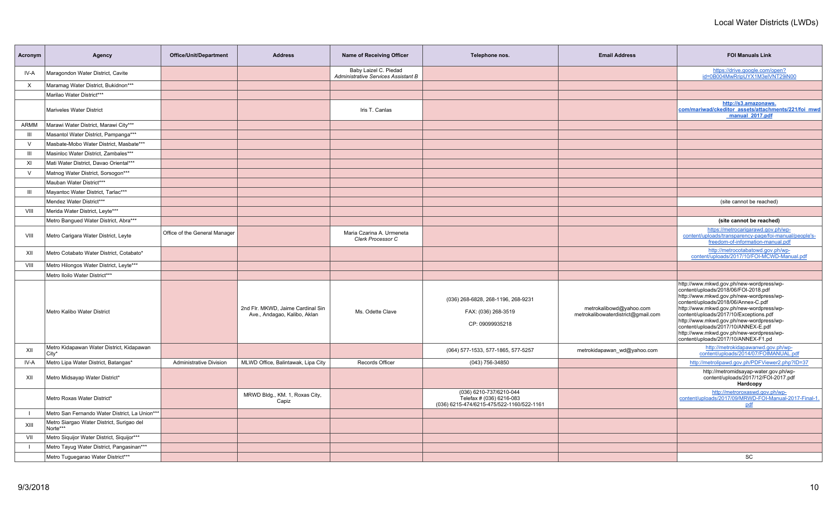| Acronym        | Agency                                                | <b>Office/Unit/Department</b> | <b>Address</b>                                                    | Name of Receiving Officer                                    | Telephone nos.                                                                                   | <b>Email Address</b>                                          | <b>FOI Manuals Link</b>                                                                                                                                                                                                                                                                                                                                                                                                         |
|----------------|-------------------------------------------------------|-------------------------------|-------------------------------------------------------------------|--------------------------------------------------------------|--------------------------------------------------------------------------------------------------|---------------------------------------------------------------|---------------------------------------------------------------------------------------------------------------------------------------------------------------------------------------------------------------------------------------------------------------------------------------------------------------------------------------------------------------------------------------------------------------------------------|
| IV-A           | Maragondon Water District, Cavite                     |                               |                                                                   | Baby Laizel C. Piedad<br>Administrative Services Assistant B |                                                                                                  |                                                               | https://drive.google.com/open?<br>id=0B004MwRripUYX1M3elVNT29iN00                                                                                                                                                                                                                                                                                                                                                               |
| X              | Maramag Water District, Bukidnon***                   |                               |                                                                   |                                                              |                                                                                                  |                                                               |                                                                                                                                                                                                                                                                                                                                                                                                                                 |
|                | Marilao Water District***                             |                               |                                                                   |                                                              |                                                                                                  |                                                               |                                                                                                                                                                                                                                                                                                                                                                                                                                 |
|                | <b>Mariveles Water District</b>                       |                               |                                                                   | Iris T. Canlas                                               |                                                                                                  |                                                               | http://s3.amazonaws.<br>com/mariwad/ckeditor_assets/attachments/221/foi_mwd<br>manual 2017.pdf                                                                                                                                                                                                                                                                                                                                  |
| ARMM           | Marawi Water District, Marawi City***                 |                               |                                                                   |                                                              |                                                                                                  |                                                               |                                                                                                                                                                                                                                                                                                                                                                                                                                 |
| Ш              | Masantol Water District, Pampanga***                  |                               |                                                                   |                                                              |                                                                                                  |                                                               |                                                                                                                                                                                                                                                                                                                                                                                                                                 |
| $\vee$         | Masbate-Mobo Water District, Masbate***               |                               |                                                                   |                                                              |                                                                                                  |                                                               |                                                                                                                                                                                                                                                                                                                                                                                                                                 |
| $\mathbf{III}$ | Masinloc Water District, Zambales***                  |                               |                                                                   |                                                              |                                                                                                  |                                                               |                                                                                                                                                                                                                                                                                                                                                                                                                                 |
| XI             | Mati Water District, Davao Oriental***                |                               |                                                                   |                                                              |                                                                                                  |                                                               |                                                                                                                                                                                                                                                                                                                                                                                                                                 |
| $\vee$         | Matnog Water District, Sorsogon***                    |                               |                                                                   |                                                              |                                                                                                  |                                                               |                                                                                                                                                                                                                                                                                                                                                                                                                                 |
|                | Mauban Water District***                              |                               |                                                                   |                                                              |                                                                                                  |                                                               |                                                                                                                                                                                                                                                                                                                                                                                                                                 |
| Ш              | Mayantoc Water District, Tarlac***                    |                               |                                                                   |                                                              |                                                                                                  |                                                               |                                                                                                                                                                                                                                                                                                                                                                                                                                 |
|                | Mendez Water District***                              |                               |                                                                   |                                                              |                                                                                                  |                                                               | (site cannot be reached)                                                                                                                                                                                                                                                                                                                                                                                                        |
| VIII           | Merida Water District, Leyte***                       |                               |                                                                   |                                                              |                                                                                                  |                                                               |                                                                                                                                                                                                                                                                                                                                                                                                                                 |
|                | Metro Bangued Water District, Abra***                 |                               |                                                                   |                                                              |                                                                                                  |                                                               | (site cannot be reached)                                                                                                                                                                                                                                                                                                                                                                                                        |
| VIII           | Metro Carigara Water District, Leyte                  | Office of the General Manager |                                                                   | Maria Czarina A. Urmeneta<br>Clerk Processor C               |                                                                                                  |                                                               | https://metrocarigarawd.gov.ph/wp-<br>content/uploads/transparency-page/foi-manual/people's-<br>freedom-of-information-manual.pdf                                                                                                                                                                                                                                                                                               |
| XII            | Metro Cotabato Water District, Cotabato*              |                               |                                                                   |                                                              |                                                                                                  |                                                               | http://metrocotabatowd.gov.ph/wp-<br>content/uploads/2017/10/FOI-MCWD-Manual.pdf                                                                                                                                                                                                                                                                                                                                                |
| VIII           | Metro Hilongos Water District, Leyte***               |                               |                                                                   |                                                              |                                                                                                  |                                                               |                                                                                                                                                                                                                                                                                                                                                                                                                                 |
|                | Metro Iloilo Water District***                        |                               |                                                                   |                                                              |                                                                                                  |                                                               |                                                                                                                                                                                                                                                                                                                                                                                                                                 |
|                | Metro Kalibo Water District                           |                               | 2nd Flr. MKWD, Jaime Cardinal Sin<br>Ave., Andagao, Kalibo, Aklan | Ms. Odette Clave                                             | (036) 268-6828, 268-1196, 268-9231<br>FAX: (036) 268-3519<br>CP: 09099935218                     | metrokalibowd@yahoo.com<br>metrokalibowaterdistrict@gmail.com | http://www.mkwd.gov.ph/new-wordpress/wp-<br>content/uploads/2018/06/FOI-2018.pdf<br>http://www.mkwd.gov.ph/new-wordpress/wp-<br>content/uploads/2018/06/Annex-C.pdf<br>http://www.mkwd.gov.ph/new-wordpress/wp-<br>content/uploads/2017/10/Exceptions.pdf<br>http://www.mkwd.gov.ph/new-wordpress/wp-<br>content/uploads/2017/10/ANNEX-E.pdf<br>http://www.mkwd.gov.ph/new-wordpress/wp-<br>content/uploads/2017/10/ANNEX-F1.pd |
| XII            | Metro Kidapawan Water District, Kidapawan<br>City*    |                               |                                                                   |                                                              | (064) 577-1533, 577-1865, 577-5257                                                               | metrokidapawan wd@yahoo.com                                   | http://metrokidapawanwd.gov.ph/wp-<br>content/uploads/2014/07/FOIMANUAL.pdf                                                                                                                                                                                                                                                                                                                                                     |
| IV-A           | Metro Lipa Water District, Batangas*                  | Administrative Division       | MLWD Office, Balintawak, Lipa City                                | Records Officer                                              | (043) 756-34850                                                                                  |                                                               | http://metrolipawd.gov.ph/PDFViewer2.php?ID=37                                                                                                                                                                                                                                                                                                                                                                                  |
| XII            | Metro Midsayap Water District*                        |                               |                                                                   |                                                              |                                                                                                  |                                                               | http://metromidsayap-water.gov.ph/wp-<br>content/uploads/2017/12/FOI-2017.pdf<br>Hardcopy                                                                                                                                                                                                                                                                                                                                       |
|                | Metro Roxas Water District*                           |                               | MRWD Bldg., KM. 1, Roxas City,<br>Capiz                           |                                                              | (036) 6210-737/6210-044<br>Telefax # (036) 6216-083<br>(036) 6215-474/6215-475/522-1160/522-1161 |                                                               | http://metroroxaswd.gov.ph/wp-<br>content/uploads/2017/09/MRWD-FOI-Manual-2017-Final-1.<br>pdf                                                                                                                                                                                                                                                                                                                                  |
|                | Metro San Fernando Water District, La Union***        |                               |                                                                   |                                                              |                                                                                                  |                                                               |                                                                                                                                                                                                                                                                                                                                                                                                                                 |
| XIII           | Metro Siargao Water District, Surigao del<br>Norte*** |                               |                                                                   |                                                              |                                                                                                  |                                                               |                                                                                                                                                                                                                                                                                                                                                                                                                                 |
| VII            | Metro Siquijor Water District, Siquijor***            |                               |                                                                   |                                                              |                                                                                                  |                                                               |                                                                                                                                                                                                                                                                                                                                                                                                                                 |
|                | Metro Tayug Water District, Pangasinan***             |                               |                                                                   |                                                              |                                                                                                  |                                                               |                                                                                                                                                                                                                                                                                                                                                                                                                                 |
|                | Metro Tuguegarao Water District***                    |                               |                                                                   |                                                              |                                                                                                  |                                                               | SC                                                                                                                                                                                                                                                                                                                                                                                                                              |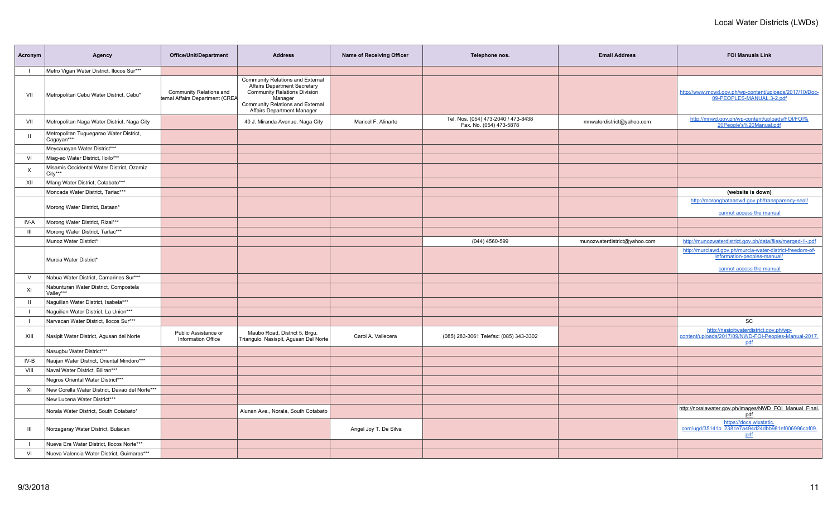| Acronym      | Agency                                                | <b>Office/Unit/Department</b>                              | <b>Address</b>                                                                                                                                                                                     | Name of Receiving Officer | Telephone nos.                                                 | <b>Email Address</b>         | <b>FOI Manuals Link</b>                                                                                             |
|--------------|-------------------------------------------------------|------------------------------------------------------------|----------------------------------------------------------------------------------------------------------------------------------------------------------------------------------------------------|---------------------------|----------------------------------------------------------------|------------------------------|---------------------------------------------------------------------------------------------------------------------|
|              | Metro Vigan Water District, Ilocos Sur***             |                                                            |                                                                                                                                                                                                    |                           |                                                                |                              |                                                                                                                     |
| VII          | Metropolitan Cebu Water District, Cebu*               | Community Relations and<br>ternal Affairs Department (CREA | Community Relations and External<br><b>Affairs Department Secretary</b><br><b>Community Relations Division</b><br>Manager<br>Community Relations and External<br><b>Affairs Department Manager</b> |                           |                                                                |                              | http://www.mcwd.gov.ph/wp-content/uploads/2017/10/Doc-<br>09-PEOPLES-MANUAL.3-2.pdf                                 |
| VII          | Metropolitan Naga Water District, Naga City           |                                                            | 40 J. Miranda Avenue, Naga City                                                                                                                                                                    | Maricel F. Alinarte       | Tel. Nos. (054) 473-2040 / 473-8438<br>Fax. No. (054) 473-5878 | mnwaterdistrict@yahoo.com    | http://mnwd.gov.ph/wp-content/uploads/FOI/FOI%<br>20People's%20Manual.pdf                                           |
|              | Metropolitan Tuguegarao Water District,<br>Cagayan*** |                                                            |                                                                                                                                                                                                    |                           |                                                                |                              |                                                                                                                     |
|              | Meycauayan Water District***                          |                                                            |                                                                                                                                                                                                    |                           |                                                                |                              |                                                                                                                     |
| VI           | Miag-ao Water District, Iloilo***                     |                                                            |                                                                                                                                                                                                    |                           |                                                                |                              |                                                                                                                     |
| X            | Misamis Occidental Water District, Ozamiz<br>City***  |                                                            |                                                                                                                                                                                                    |                           |                                                                |                              |                                                                                                                     |
| XII          | Mlang Water District, Cotabato***                     |                                                            |                                                                                                                                                                                                    |                           |                                                                |                              |                                                                                                                     |
|              | Moncada Water District, Tarlac***                     |                                                            |                                                                                                                                                                                                    |                           |                                                                |                              | (website is down)                                                                                                   |
|              | Morong Water District, Bataan*                        |                                                            |                                                                                                                                                                                                    |                           |                                                                |                              | http://morongbataanwd.gov.ph/transparency-seal/                                                                     |
|              |                                                       |                                                            |                                                                                                                                                                                                    |                           |                                                                |                              | cannot access the manual                                                                                            |
| IV-A         | Morong Water District, Rizal***                       |                                                            |                                                                                                                                                                                                    |                           |                                                                |                              |                                                                                                                     |
| III          | Morong Water District, Tarlac***                      |                                                            |                                                                                                                                                                                                    |                           |                                                                |                              |                                                                                                                     |
|              | Munoz Water District*                                 |                                                            |                                                                                                                                                                                                    |                           | (044) 4560-599                                                 | munozwaterdistrict@yahoo.com | http://munozwaterdistrict.gov.ph/data/files/merged-1-.pdf                                                           |
|              | Murcia Water District*                                |                                                            |                                                                                                                                                                                                    |                           |                                                                |                              | http://murciawd.gov.ph/murcia-water-district-freedom-of-<br>information-peoples-manual/<br>cannot access the manual |
| $\vee$       | Nabua Water District, Camarines Sur***                |                                                            |                                                                                                                                                                                                    |                           |                                                                |                              |                                                                                                                     |
| XI           | Nabunturan Water District, Compostela<br>Valley***    |                                                            |                                                                                                                                                                                                    |                           |                                                                |                              |                                                                                                                     |
| $\mathbf{I}$ | Naguilian Water District, Isabela***                  |                                                            |                                                                                                                                                                                                    |                           |                                                                |                              |                                                                                                                     |
|              | Naguilian Water District, La Union***                 |                                                            |                                                                                                                                                                                                    |                           |                                                                |                              |                                                                                                                     |
| $\mathbf{I}$ | Narvacan Water District, Ilocos Sur***                |                                                            |                                                                                                                                                                                                    |                           |                                                                |                              | SC                                                                                                                  |
| XIII         | Nasipit Water District, Agusan del Norte              | Public Assistance or<br>Information Office                 | Maubo Road, District 5, Brgu.<br>Triangulo, Nasispit, Agusan Del Norte                                                                                                                             | Carol A. Vallecera        | (085) 283-3061 Telefax: (085) 343-3302                         |                              | http://nasipitwaterdistrict.gov.ph/wp-<br>content/uploads/2017/09/NWD-FOI-Peoples-Manual-2017.<br>pdf               |
|              | Nasugbu Water District***                             |                                                            |                                                                                                                                                                                                    |                           |                                                                |                              |                                                                                                                     |
| IV-B         | Naujan Water District, Oriental Mindoro***            |                                                            |                                                                                                                                                                                                    |                           |                                                                |                              |                                                                                                                     |
| VIII         | Naval Water District, Biliran***                      |                                                            |                                                                                                                                                                                                    |                           |                                                                |                              |                                                                                                                     |
|              | Negros Oriental Water District***                     |                                                            |                                                                                                                                                                                                    |                           |                                                                |                              |                                                                                                                     |
| XI           | New Corella Water District, Davao del Norte***        |                                                            |                                                                                                                                                                                                    |                           |                                                                |                              |                                                                                                                     |
|              | New Lucena Water District***                          |                                                            |                                                                                                                                                                                                    |                           |                                                                |                              |                                                                                                                     |
|              | Norala Water District, South Cotabato*                |                                                            | Alunan Ave., Norala, South Cotabato                                                                                                                                                                |                           |                                                                |                              | http://noralawater.gov.ph/images/NWD_FOI_Manual_Final.<br>pdf                                                       |
| Ш            | Norzagaray Water District, Bulacan                    |                                                            |                                                                                                                                                                                                    | Angel Joy T. De Silva     |                                                                |                              | https://docs.wixstatic.com/ugd/35141b_2381e7a494d24dbb981ef006996cbf09.<br>pdf                                      |
|              | Nueva Era Water District, Ilocos Norte***             |                                                            |                                                                                                                                                                                                    |                           |                                                                |                              |                                                                                                                     |
| VI           | Nueva Valencia Water District, Guimaras***            |                                                            |                                                                                                                                                                                                    |                           |                                                                |                              |                                                                                                                     |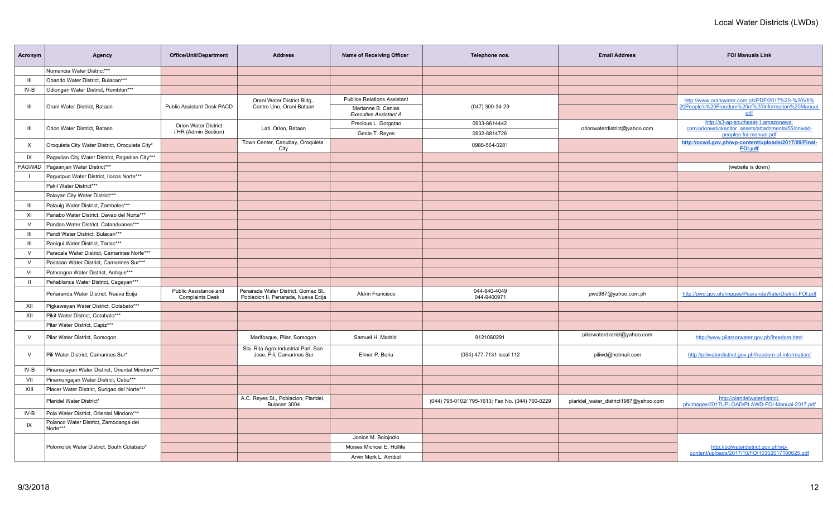| Acronym      | Agency                                            | <b>Office/Unit/Department</b>                   | <b>Address</b>                                                             | Name of Receiving Officer                          | Telephone nos.                                   | <b>Email Address</b>                  | <b>FOI Manuals Link</b>                                                                   |
|--------------|---------------------------------------------------|-------------------------------------------------|----------------------------------------------------------------------------|----------------------------------------------------|--------------------------------------------------|---------------------------------------|-------------------------------------------------------------------------------------------|
|              | Numancia Water District***                        |                                                 |                                                                            |                                                    |                                                  |                                       |                                                                                           |
| Ш            | Obando Water District, Bulacan***                 |                                                 |                                                                            |                                                    |                                                  |                                       |                                                                                           |
| IV-B         | Odiongan Water District, Romblon***               |                                                 |                                                                            |                                                    |                                                  |                                       |                                                                                           |
|              |                                                   |                                                 | Orani Water District Bldg.,                                                | <b>Publice Relations Assistant</b>                 |                                                  |                                       | http://www.oraniwater.com.ph/PDF/2017%20-%20VII%                                          |
| Ш            | Orani Water District, Bataan                      | <b>Public Assistant Desk PACD</b>               | Centro Uno, Orani Bataan                                                   | Marianne B. Canlas<br><b>Executive Assistant A</b> | (047) 300-34-29                                  |                                       | 20People's%20Freedom%20of%20Information%20Manual<br>pdf                                   |
| Ш            | Orion Water District, Bataan                      | Orion Water District                            | Lati, Orion, Bataan                                                        | Precious L. Gotgotao                               | 0933-8614442                                     | orionwaterdistrict@yahoo.com          | http://s3-ap-southeast-1.amazonaws.<br>com/orionwd/ckeditor_assets/attachments/55/oriwad- |
|              |                                                   | / HR (Admin Section)                            |                                                                            | Genie T. Reyes                                     | 0932-8814726                                     |                                       | peoples-foi-manual.pdf                                                                    |
| X            | Oroquieta City Water District, Oroquieta City*    |                                                 | Town Center, Canubay, Oroquieta<br>City                                    |                                                    | 0988-564-0281                                    |                                       | http://ocwd.gov.ph/wp-content/uploads/2017/09/Final-<br><b>FOI.pdf</b>                    |
| IX           | Pagadian City Water District, Pagadian City***    |                                                 |                                                                            |                                                    |                                                  |                                       |                                                                                           |
| PAGWAD       | Pagsanjan Water District***                       |                                                 |                                                                            |                                                    |                                                  |                                       | (website is down)                                                                         |
|              | Pagudpud Water District, Ilocos Norte***          |                                                 |                                                                            |                                                    |                                                  |                                       |                                                                                           |
|              | Pakil Water District***                           |                                                 |                                                                            |                                                    |                                                  |                                       |                                                                                           |
|              | Palayan City Water District***                    |                                                 |                                                                            |                                                    |                                                  |                                       |                                                                                           |
| III          | Palauig Water District, Zambales***               |                                                 |                                                                            |                                                    |                                                  |                                       |                                                                                           |
| XI           | Panabo Water District, Davao del Norte***         |                                                 |                                                                            |                                                    |                                                  |                                       |                                                                                           |
| $\vee$       | Pandan Water District, Catanduanes***             |                                                 |                                                                            |                                                    |                                                  |                                       |                                                                                           |
| Ш            | Pandi Water District, Bulacan***                  |                                                 |                                                                            |                                                    |                                                  |                                       |                                                                                           |
| Ш            | Paniqui Water District, Tarlac***                 |                                                 |                                                                            |                                                    |                                                  |                                       |                                                                                           |
| V            | Paracale Water District, Camarines Norte***       |                                                 |                                                                            |                                                    |                                                  |                                       |                                                                                           |
| $\vee$       | Pasacao Water District, Camarines Sur***          |                                                 |                                                                            |                                                    |                                                  |                                       |                                                                                           |
| VI           | Patnongon Water District, Antique***              |                                                 |                                                                            |                                                    |                                                  |                                       |                                                                                           |
| $\mathbf{H}$ | Peñablanca Water District, Cagayan***             |                                                 |                                                                            |                                                    |                                                  |                                       |                                                                                           |
|              | Peñaranda Water District, Nueva Ecija             | Public Assistance and<br><b>Complaints Desk</b> | Penarada Water District, Gomez St.,<br>Poblacion II, Penarada, Nueva Ecija | Aldrin Francisco                                   | 044-940-4049<br>044-9400971                      | pwd987@yahoo.com.ph                   | http://pwd.gov.ph/images/PearandaWaterDistrict-FOI.pdf                                    |
| XII          | Pigkawayan Water District, Cotabato***            |                                                 |                                                                            |                                                    |                                                  |                                       |                                                                                           |
| XII          | Pikit Water District, Cotabato***                 |                                                 |                                                                            |                                                    |                                                  |                                       |                                                                                           |
|              | Pilar Water District, Capiz***                    |                                                 |                                                                            |                                                    |                                                  |                                       |                                                                                           |
| $\vee$       | Pilar Water District, Sorsogon                    |                                                 | Marifosque, Pilar, Sorsogon                                                | Samuel H. Madrid                                   | 9121060291                                       | pilarwaterdistrict@yahoo.com          | http://www.pilarsorwater.gov.ph/freedom.html                                              |
| $\vee$       | Pili Water District, Camarines Sur*               |                                                 | Sta. Rita Agro-Industrial Parl, San<br>Jose, Pili, Camarines Sur           | Elmer P. Boria                                     | (054) 477-7131 local 112                         | piliwd@hotmail.com                    | http://piliwaterdistrict.gov.ph/freedom-of-information/                                   |
| IV-B         | Pinamalayan Water District, Oriental Mindoro***   |                                                 |                                                                            |                                                    |                                                  |                                       |                                                                                           |
| VII          | Pinamungajan Water District, Cebu***              |                                                 |                                                                            |                                                    |                                                  |                                       |                                                                                           |
| XIII         | Placer Water District, Surigao del Norte***       |                                                 |                                                                            |                                                    |                                                  |                                       |                                                                                           |
|              | Plaridel Water District*                          |                                                 | A.C. Reyes St., Poblacion, Plaridel,<br>Bulacan 3004                       |                                                    | (044) 795-0102/ 795-1613; Fax No. (044) 760-0229 | plaridel_water_district1987@yahoo.com | http://plaridelwaterdistrict.<br>ph/images/2017UPLOAD/PLAWD-FOI-Manual-2017.pdf           |
| IV-B         | Pola Water District, Oriental Mindoro***          |                                                 |                                                                            |                                                    |                                                  |                                       |                                                                                           |
| IX           | Polanco Water District, Zamboanga del<br>Norte*** |                                                 |                                                                            |                                                    |                                                  |                                       |                                                                                           |
|              |                                                   |                                                 |                                                                            | Jonice M. Bolojodio                                |                                                  |                                       |                                                                                           |
|              | Polomolok Water District, South Cotabato*         |                                                 |                                                                            | Moises Michoel E. Hollite                          |                                                  |                                       | http://polwaterdistrict.gov.ph/wp-                                                        |
|              |                                                   |                                                 |                                                                            | Arvin Mork L. Arnibol                              |                                                  |                                       | content/uploads/2017/10/FOI10302017100625.pdf                                             |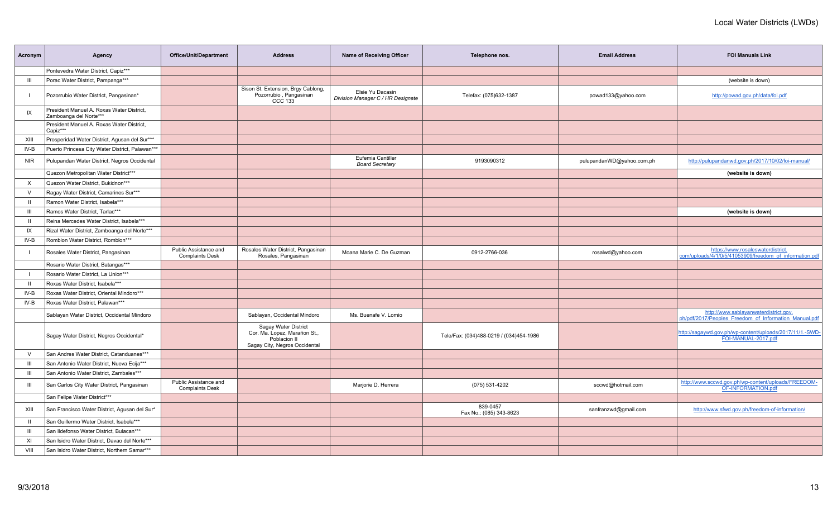| Acronym        | Agency                                                              | Office/Unit/Department                          | <b>Address</b>                                                                                        | Name of Receiving Officer                             | Telephone nos.                          | <b>Email Address</b>      | <b>FOI Manuals Link</b>                                                                        |
|----------------|---------------------------------------------------------------------|-------------------------------------------------|-------------------------------------------------------------------------------------------------------|-------------------------------------------------------|-----------------------------------------|---------------------------|------------------------------------------------------------------------------------------------|
|                | Pontevedra Water District, Capiz***                                 |                                                 |                                                                                                       |                                                       |                                         |                           |                                                                                                |
| Ш              | Porac Water District, Pampanga***                                   |                                                 |                                                                                                       |                                                       |                                         |                           | (website is down)                                                                              |
|                | Pozorrubio Water District, Pangasinan*                              |                                                 | Sison St. Extension, Brgy Cablong,<br>Pozorrubio, Pangasinan<br>CCC 133                               | Elsie Yu Dacasin<br>Division Manager C / HR Designate | Telefax: (075)632-1387                  | powad133@yahoo.com        | http://powad.gov.ph/data/foi.pdf                                                               |
| IX             | President Manuel A. Roxas Water District,<br>Zamboanga del Norte*** |                                                 |                                                                                                       |                                                       |                                         |                           |                                                                                                |
|                | President Manuel A. Roxas Water District,<br>Capiz***               |                                                 |                                                                                                       |                                                       |                                         |                           |                                                                                                |
| XIII           | Prosperidad Water District, Agusan del Sur***                       |                                                 |                                                                                                       |                                                       |                                         |                           |                                                                                                |
| IV-B           | Puerto Princesa City Water District, Palawan***                     |                                                 |                                                                                                       |                                                       |                                         |                           |                                                                                                |
| <b>NIR</b>     | Pulupandan Water District, Negros Occidental                        |                                                 |                                                                                                       | Eufemia Cantiller<br><b>Board Secretary</b>           | 9193090312                              | pulupandanWD@yahoo.com.ph | http://pulupandanwd.gov.ph/2017/10/02/foi-manual/                                              |
|                | Quezon Metropolitan Water District***                               |                                                 |                                                                                                       |                                                       |                                         |                           | (website is down)                                                                              |
| X              | Quezon Water District, Bukidnon***                                  |                                                 |                                                                                                       |                                                       |                                         |                           |                                                                                                |
| $\vee$         | Ragay Water District, Camarines Sur***                              |                                                 |                                                                                                       |                                                       |                                         |                           |                                                                                                |
| $\mathbf{H}$   | Ramon Water District, Isabela***                                    |                                                 |                                                                                                       |                                                       |                                         |                           |                                                                                                |
| III            | Ramos Water District, Tarlac***                                     |                                                 |                                                                                                       |                                                       |                                         |                           | (website is down)                                                                              |
| $\mathbf{H}$   | Reina Mercedes Water District, Isabela***                           |                                                 |                                                                                                       |                                                       |                                         |                           |                                                                                                |
| IX             | Rizal Water District, Zamboanga del Norte***                        |                                                 |                                                                                                       |                                                       |                                         |                           |                                                                                                |
| IV-B           | Romblon Water District, Romblon***                                  |                                                 |                                                                                                       |                                                       |                                         |                           |                                                                                                |
|                | Rosales Water District, Pangasinan                                  | Public Assistance and<br><b>Complaints Desk</b> | Rosales Water District, Pangasinan<br>Rosales, Pangasinan                                             | Moana Marie C. De Guzman                              | 0912-2766-036                           | rosalwd@yahoo.com         | https://www.rosaleswaterdistrict.<br>com/uploads/4/1/0/5/41053909/freedom of information.pdf   |
|                | Rosario Water District, Batangas***                                 |                                                 |                                                                                                       |                                                       |                                         |                           |                                                                                                |
|                | Rosario Water District, La Union***                                 |                                                 |                                                                                                       |                                                       |                                         |                           |                                                                                                |
| $\mathbf{H}$   | Roxas Water District, Isabela***                                    |                                                 |                                                                                                       |                                                       |                                         |                           |                                                                                                |
| IV-B           | Roxas Water District, Oriental Mindoro***                           |                                                 |                                                                                                       |                                                       |                                         |                           |                                                                                                |
| IV-B           | Roxas Water District, Palawan***                                    |                                                 |                                                                                                       |                                                       |                                         |                           |                                                                                                |
|                | Sablayan Water District, Occidental Mindoro                         |                                                 | Sablayan, Occidental Mindoro                                                                          | Ms. Buenafe V. Lomio                                  |                                         |                           | http://www.sablayanwaterdistrict.gov.<br>ph/pdf/2017/Peoples_Freedom_of_Information_Manual.pdf |
|                | Sagay Water District, Negros Occidental*                            |                                                 | Sagay Water District<br>Cor. Ma. Lopez, Marañon St.,<br>Poblacion II<br>Sagay City, Negros Occidental |                                                       | Tele/Fax: (034)488-0219 / (034)454-1986 |                           | http://sagaywd.gov.ph/wp-content/uploads/2017/11/1.-SWD-<br>FOI-MANUAL-2017.pdf                |
| $\vee$         | San Andres Water District, Catanduanes***                           |                                                 |                                                                                                       |                                                       |                                         |                           |                                                                                                |
| $\mathbf{III}$ | San Antonio Water District, Nueva Ecija***                          |                                                 |                                                                                                       |                                                       |                                         |                           |                                                                                                |
| $\mathbf{III}$ | San Antonio Water District, Zambales***                             |                                                 |                                                                                                       |                                                       |                                         |                           |                                                                                                |
| Ш              | San Carlos City Water District, Pangasinan                          | Public Assistance and<br><b>Complaints Desk</b> |                                                                                                       | Marjorie D. Herrera                                   | (075) 531-4202                          | sccwd@hotmail.com         | http://www.sccwd.gov.ph/wp-content/uploads/FREEDOM-<br>OF-INFORMATION.pdf                      |
|                | San Felipe Water District***                                        |                                                 |                                                                                                       |                                                       |                                         |                           |                                                                                                |
| XIII           | San Francisco Water District, Agusan del Sur*                       |                                                 |                                                                                                       |                                                       | 839-0457<br>Fax No.: (085) 343-8623     | sanfranzwd@gmail.com      | http://www.sfwd.gov.ph/freedom-of-information/                                                 |
| $\mathbf{H}$   | San Guillermo Water District, Isabela***                            |                                                 |                                                                                                       |                                                       |                                         |                           |                                                                                                |
| Ш              | San Ildefonso Water District, Bulacan***                            |                                                 |                                                                                                       |                                                       |                                         |                           |                                                                                                |
| XI             | San Isidro Water District, Davao del Norte***                       |                                                 |                                                                                                       |                                                       |                                         |                           |                                                                                                |
| VIII           | San Isidro Water District, Northern Samar***                        |                                                 |                                                                                                       |                                                       |                                         |                           |                                                                                                |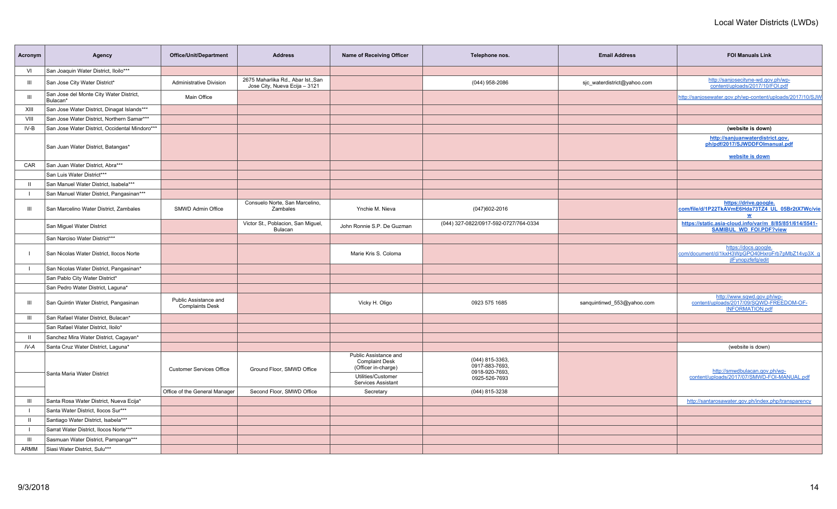| Acronym      | Agency                                              | Office/Unit/Department                          | <b>Address</b>                                                      | Name of Receiving Officer                                                                                         | Telephone nos.                                                       | <b>Email Address</b>        | <b>FOI Manuals Link</b>                                                                          |
|--------------|-----------------------------------------------------|-------------------------------------------------|---------------------------------------------------------------------|-------------------------------------------------------------------------------------------------------------------|----------------------------------------------------------------------|-----------------------------|--------------------------------------------------------------------------------------------------|
| VI           | San Joaquin Water District, Iloilo***               |                                                 |                                                                     |                                                                                                                   |                                                                      |                             |                                                                                                  |
| Ш            | San Jose City Water District*                       | <b>Administrative Division</b>                  | 2675 Maharlika Rd., Abar Ist., San<br>Jose City, Nueva Ecija - 3121 |                                                                                                                   | (044) 958-2086                                                       | sic waterdistrict@yahoo.com | http://sanjosecityne-wd.gov.ph/wp-<br>content/uploads/2017/10/FOI.pdf                            |
| III          | San Jose del Monte City Water District,<br>Bulacan* | Main Office                                     |                                                                     |                                                                                                                   |                                                                      |                             | http://sanjosewater.gov.ph/wp-content/uploads/2017/10/SJW                                        |
| XIII         | San Jose Water District, Dinagat Islands***         |                                                 |                                                                     |                                                                                                                   |                                                                      |                             |                                                                                                  |
| VIII         | San Jose Water District, Northern Samar***          |                                                 |                                                                     |                                                                                                                   |                                                                      |                             |                                                                                                  |
| IV-B         | San Jose Water District, Occidental Mindoro***      |                                                 |                                                                     |                                                                                                                   |                                                                      |                             | (website is down)                                                                                |
|              | San Juan Water District, Batangas*                  |                                                 |                                                                     |                                                                                                                   |                                                                      |                             | http://sanjuanwaterdistrict.gov.<br>ph/pdf/2017/SJWDDFOlmanual.pdf<br>website is down            |
| CAR          | San Juan Water District, Abra***                    |                                                 |                                                                     |                                                                                                                   |                                                                      |                             |                                                                                                  |
|              | San Luis Water District***                          |                                                 |                                                                     |                                                                                                                   |                                                                      |                             |                                                                                                  |
| $\mathbf{H}$ | San Manuel Water District, Isabela***               |                                                 |                                                                     |                                                                                                                   |                                                                      |                             |                                                                                                  |
|              | San Manuel Water District, Pangasinan***            |                                                 |                                                                     |                                                                                                                   |                                                                      |                             |                                                                                                  |
| Ш            | San Marcelino Water District, Zambales              | SMWD Admin Office                               | Consuelo Norte, San Marcelino,<br>Zambales                          | Ynchie M. Nieva                                                                                                   | $(047)602 - 2016$                                                    |                             | https://drive.google.<br>com/file/d/1P22TkAVmE6Hda73TZ4_UL_05Br2tX7Wc/vie<br>W                   |
|              | San Miguel Water District                           |                                                 | Victor St., Poblacion, San Miguel,<br>Bulacan                       | John Ronnie S.P. De Guzman                                                                                        | (044) 327-0822/0917-592-0727/764-0334                                |                             | https://static.asia-cloud.info/var/m 8/85/851/614/5541-<br><b>SAMIBUL WD FOI.PDF?view</b>        |
|              | San Narciso Water District***                       |                                                 |                                                                     |                                                                                                                   |                                                                      |                             |                                                                                                  |
|              | San Nicolas Water District, Ilocos Norte            |                                                 |                                                                     | Marie Kris S. Coloma                                                                                              |                                                                      |                             | https://docs.google.<br>com/document/d/1kxH3WpGPO40HxroFrb7pMbZ14vp3X_g<br>jlFynopzfefg/edit     |
|              | San Nicolas Water District, Pangasinan*             |                                                 |                                                                     |                                                                                                                   |                                                                      |                             |                                                                                                  |
|              | San Pablo City Water District*                      |                                                 |                                                                     |                                                                                                                   |                                                                      |                             |                                                                                                  |
|              | San Pedro Water District, Laguna*                   |                                                 |                                                                     |                                                                                                                   |                                                                      |                             |                                                                                                  |
| Ш            | San Quintin Water District, Pangasinan              | Public Assistance and<br><b>Complaints Desk</b> |                                                                     | Vicky H. Oligo                                                                                                    | 0923 575 1685                                                        | sanquintinwd 553@yahoo.com  | http://www.sqwd.gov.ph/wp-<br>content/uploads/2017/09/SQWD-FREEDOM-OF-<br><b>INFORMATION.pdf</b> |
| Ш            | San Rafael Water District, Bulacan*                 |                                                 |                                                                     |                                                                                                                   |                                                                      |                             |                                                                                                  |
|              | San Rafael Water District, Iloilo*                  |                                                 |                                                                     |                                                                                                                   |                                                                      |                             |                                                                                                  |
| $\mathbf{H}$ | Sanchez Mira Water District, Cagayan*               |                                                 |                                                                     |                                                                                                                   |                                                                      |                             |                                                                                                  |
| IV-A         | Santa Cruz Water District, Laguna*                  |                                                 |                                                                     |                                                                                                                   |                                                                      |                             | (website is down)                                                                                |
|              | Santa Maria Water District                          | <b>Customer Services Office</b>                 | Ground Floor, SMWD Office                                           | Public Assistance and<br><b>Complaint Desk</b><br>(Officer in-charge)<br>Utilities/Customer<br>Services Assistant | (044) 815-3363,<br>0917-883-7693,<br>0918-920-7693,<br>0925-526-7693 |                             | http://smwdbulacan.gov.ph/wp-<br>content/uploads/2017/07/SMWD-FOI-MANUAL.pdf                     |
|              |                                                     | Office of the General Manager                   | Second Floor, SMWD Office                                           | Secretary                                                                                                         | (044) 815-3238                                                       |                             |                                                                                                  |
| Ш            | Santa Rosa Water District, Nueva Ecija*             |                                                 |                                                                     |                                                                                                                   |                                                                      |                             | http://santarosawater.gov.ph/index.php/transparency                                              |
|              | Santa Water District, Ilocos Sur***                 |                                                 |                                                                     |                                                                                                                   |                                                                      |                             |                                                                                                  |
| $\mathbf{u}$ | Santiago Water District, Isabela***                 |                                                 |                                                                     |                                                                                                                   |                                                                      |                             |                                                                                                  |
|              | Sarrat Water District, Ilocos Norte***              |                                                 |                                                                     |                                                                                                                   |                                                                      |                             |                                                                                                  |
| Ш            | Sasmuan Water District, Pampanga***                 |                                                 |                                                                     |                                                                                                                   |                                                                      |                             |                                                                                                  |
| ARMM         | Siasi Water District, Sulu***                       |                                                 |                                                                     |                                                                                                                   |                                                                      |                             |                                                                                                  |
|              |                                                     |                                                 |                                                                     |                                                                                                                   |                                                                      |                             |                                                                                                  |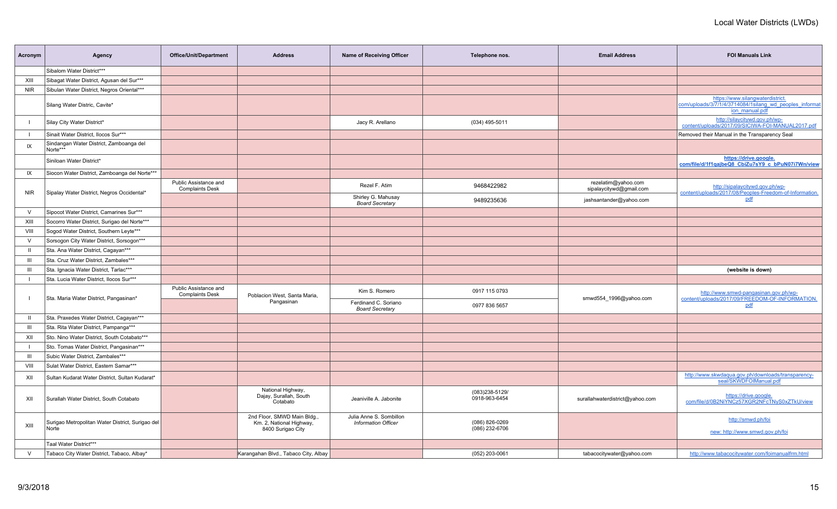| Acronym        | Agency                                                    | <b>Office/Unit/Department</b>                   | <b>Address</b>                                                              | Name of Receiving Officer                             | Telephone nos.                     | <b>Email Address</b>                           | <b>FOI Manuals Link</b>                                                                                       |
|----------------|-----------------------------------------------------------|-------------------------------------------------|-----------------------------------------------------------------------------|-------------------------------------------------------|------------------------------------|------------------------------------------------|---------------------------------------------------------------------------------------------------------------|
|                | Sibalom Water District***                                 |                                                 |                                                                             |                                                       |                                    |                                                |                                                                                                               |
| XIII           | Sibagat Water District, Agusan del Sur***                 |                                                 |                                                                             |                                                       |                                    |                                                |                                                                                                               |
| <b>NIR</b>     | Sibulan Water District, Negros Oriental***                |                                                 |                                                                             |                                                       |                                    |                                                |                                                                                                               |
|                | Silang Water Distric, Cavite*                             |                                                 |                                                                             |                                                       |                                    |                                                | https://www.silangwaterdistrict.<br>com/uploads/3/7/1/4/3714084/1silang wd peoples informat<br>jon manual.pdf |
|                | Silay City Water District*                                |                                                 |                                                                             | Jacy R. Arellano                                      | $(034)$ 495-5011                   |                                                | http://silaycitywd.gov.ph/wp-<br>content/uploads/2017/09/SICIWA-FOI-MANUAL2017.pdf                            |
|                | Sinait Water District, Ilocos Sur***                      |                                                 |                                                                             |                                                       |                                    |                                                | Removed their Manual in the Transparency Seal                                                                 |
| IX             | Sindangan Water District, Zamboanga del<br>Norte***       |                                                 |                                                                             |                                                       |                                    |                                                |                                                                                                               |
|                | Siniloan Water District*                                  |                                                 |                                                                             |                                                       |                                    |                                                | https://drive.google.<br>com/file/d/1f1qajbeQ8_CbiZu7sY9_c_bPuN07i7Wn/view                                    |
| IX             | Siocon Water District, Zamboanga del Norte***             |                                                 |                                                                             |                                                       |                                    |                                                |                                                                                                               |
| <b>NIR</b>     | Sipalay Water District, Negros Occidental*                | Public Assistance and<br><b>Complaints Desk</b> |                                                                             | Rezel F. Atim                                         | 9468422982                         | rezelatim@yahoo.com<br>sipalaycitywd@gmail.com | http://sipalaycitywd.gov.ph/wp-<br>content/uploads/2017/08/Peoples-Freedom-of-Information.                    |
|                |                                                           |                                                 |                                                                             | Shirley G. Mahusay<br><b>Board Secretary</b>          | 9489235636                         | jashsantander@yahoo.com                        | pdf                                                                                                           |
| $\vee$         | Sipocot Water District, Camarines Sur***                  |                                                 |                                                                             |                                                       |                                    |                                                |                                                                                                               |
| XIII           | Socorro Water District, Surigao del Norte***              |                                                 |                                                                             |                                                       |                                    |                                                |                                                                                                               |
| <b>VIII</b>    | Sogod Water District, Southern Leyte***                   |                                                 |                                                                             |                                                       |                                    |                                                |                                                                                                               |
| $\vee$         | Sorsogon City Water District, Sorsogon***                 |                                                 |                                                                             |                                                       |                                    |                                                |                                                                                                               |
| $\mathbf{II}$  | Sta. Ana Water District, Cagayan***                       |                                                 |                                                                             |                                                       |                                    |                                                |                                                                                                               |
| Ш              | Sta. Cruz Water District, Zambales***                     |                                                 |                                                                             |                                                       |                                    |                                                |                                                                                                               |
| $\mathbf{III}$ | Sta. Ignacia Water District, Tarlac***                    |                                                 |                                                                             |                                                       |                                    |                                                | (website is down)                                                                                             |
| $\perp$        | Sta. Lucia Water District, Ilocos Sur***                  |                                                 |                                                                             |                                                       |                                    |                                                |                                                                                                               |
|                | Sta. Maria Water District, Pangasinan*                    | Public Assistance and<br><b>Complaints Desk</b> | Poblacion West, Santa Maria,                                                | Kim S. Romero                                         | 0917 115 0793                      | smwd554_1996@yahoo.com                         | http://www.smwd-pangasinan.gov.ph/wp-<br>content/uploads/2017/09/FREEDOM-OF-INFORMATION.                      |
|                |                                                           |                                                 | Pangasinan                                                                  | Ferdinand C. Soriano<br><b>Board Secretary</b>        | 0977 836 5657                      |                                                | pdf                                                                                                           |
| $\mathbf{H}$   | Sta. Praxedes Water District, Cagayan***                  |                                                 |                                                                             |                                                       |                                    |                                                |                                                                                                               |
| $\mathbf{III}$ | Sta. Rita Water District, Pampanga***                     |                                                 |                                                                             |                                                       |                                    |                                                |                                                                                                               |
| XII            | Sto. Nino Water District, South Cotabato***               |                                                 |                                                                             |                                                       |                                    |                                                |                                                                                                               |
|                | Sto. Tomas Water District, Pangasinan***                  |                                                 |                                                                             |                                                       |                                    |                                                |                                                                                                               |
| Ш              | Subic Water District, Zambales***                         |                                                 |                                                                             |                                                       |                                    |                                                |                                                                                                               |
| VIII           | Sulat Water District, Eastern Samar***                    |                                                 |                                                                             |                                                       |                                    |                                                |                                                                                                               |
| XII            | Sultan Kudarat Water District, Sultan Kudarat*            |                                                 |                                                                             |                                                       |                                    |                                                | http://www.skwdaqua.gov.ph/downloads/transparency-<br>seal/SKWDFOIManual.pdf                                  |
| XII            | Surallah Water District, South Cotabato                   |                                                 | National Highway,<br>Dajay, Surallah, South<br>Cotabato                     | Jeaniville A. Jabonite                                | (083)238-5129/<br>0918-963-6454    | surallahwaterdistrict@yahoo.com                | https://drive.google.<br>com/file/d/0B2NiYNCz57XGR2NFcTNyS0xZTkU/view                                         |
| XIII           | Surigao Metropolitan Water District, Surigao del<br>Norte |                                                 | 2nd Floor, SMWD Main Bldg.<br>Km. 2, National Highway,<br>8400 Surigao City | Julia Anne S. Sombillon<br><b>Information Officer</b> | (086) 826-0269<br>$(086)$ 232-6706 |                                                | http://smwd.ph/foi<br>new: http://www.smwd.gov.ph/foi                                                         |
|                | Taal Water District***                                    |                                                 |                                                                             |                                                       |                                    |                                                |                                                                                                               |
| $\vee$         | Tabaco City Water District, Tabaco, Albay*                |                                                 | Karangahan Blvd., Tabaco City, Albay                                        |                                                       | (052) 203-0061                     | tabacocitywater@yahoo.com                      | http://www.tabacocitywater.com/foimanualfrm.htm                                                               |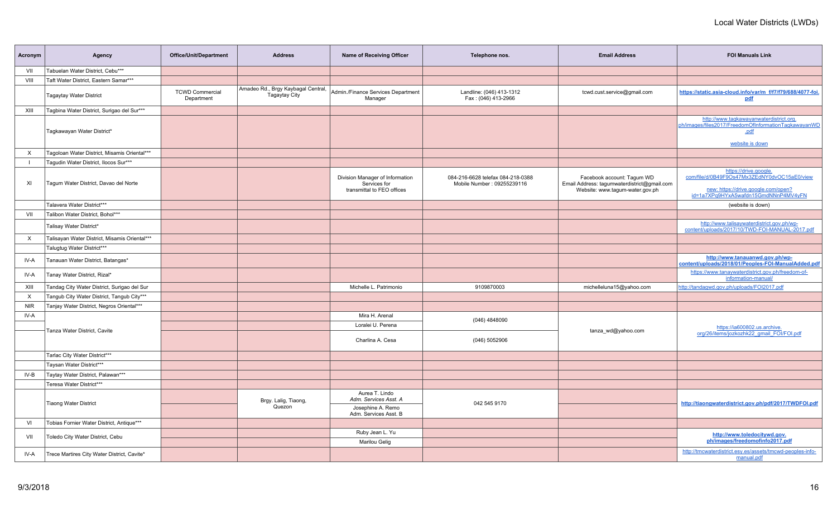| Acronym    | Agency                                        | Office/Unit/Department               | <b>Address</b>                                             | <b>Name of Receiving Officer</b>                                              | Telephone nos.                                                  | <b>Email Address</b>                                                                                         | <b>FOI Manuals Link</b>                                                                                                                             |
|------------|-----------------------------------------------|--------------------------------------|------------------------------------------------------------|-------------------------------------------------------------------------------|-----------------------------------------------------------------|--------------------------------------------------------------------------------------------------------------|-----------------------------------------------------------------------------------------------------------------------------------------------------|
| VII        | Tabuelan Water District, Cebu***              |                                      |                                                            |                                                                               |                                                                 |                                                                                                              |                                                                                                                                                     |
| VIII       | Taft Water District, Eastern Samar***         |                                      |                                                            |                                                                               |                                                                 |                                                                                                              |                                                                                                                                                     |
|            | <b>Tagaytay Water District</b>                | <b>TCWD Commercial</b><br>Department | Amadeo Rd., Brgy Kaybagal Central,<br><b>Tagaytay City</b> | Admin./Finance Services Department<br>Manager                                 | Landline: (046) 413-1312<br>Fax: (046) 413-2966                 | tcwd.cust.service@gmail.com                                                                                  | https://static.asia-cloud.info/var/m f/f7/f79/688/4077-foi.<br>pdf                                                                                  |
| XIII       | Tagbina Water District, Surigao del Sur***    |                                      |                                                            |                                                                               |                                                                 |                                                                                                              |                                                                                                                                                     |
|            | Tagkawayan Water District*                    |                                      |                                                            |                                                                               |                                                                 |                                                                                                              | http://www.tagkawayanwaterdistrict.org.<br>ph/images/files2017/FreedomOfInformationTagkawayanWD<br>.pdf<br>website is down                          |
| X          | Tagoloan Water District, Misamis Oriental***  |                                      |                                                            |                                                                               |                                                                 |                                                                                                              |                                                                                                                                                     |
|            | Tagudin Water District, Ilocos Sur***         |                                      |                                                            |                                                                               |                                                                 |                                                                                                              |                                                                                                                                                     |
| XI         | Tagum Water District, Davao del Norte         |                                      |                                                            | Division Manager of Information<br>Services for<br>transmittal to FEO offices | 084-216-6628 telefax 084-218-0388<br>Mobile Number: 09255239116 | Facebook account: Tagum WD<br>Email Address: tagumwaterdistrict@gmail.com<br>Website: www.tagum-water.gov.ph | https://drive.google<br>com/file/d/0B49F9Os47Mx3ZEdNY0dvOC15aE0/view<br>new: https://drive.google.com/open?<br>id=1a7XPq9HYxA5wafdn15GmdNNnP4MV4yFN |
|            | Talavera Water District***                    |                                      |                                                            |                                                                               |                                                                 |                                                                                                              | (website is down)                                                                                                                                   |
| VII        | Talibon Water District, Bohol***              |                                      |                                                            |                                                                               |                                                                 |                                                                                                              |                                                                                                                                                     |
|            | Talisay Water District*                       |                                      |                                                            |                                                                               |                                                                 |                                                                                                              | http://www.talisaywaterdistrict.gov.ph/wp-<br>content/uploads/2017/10/TWD-FOI-MANUAL-2017.pdf                                                       |
| X          | Talisayan Water District, Misamis Oriental*** |                                      |                                                            |                                                                               |                                                                 |                                                                                                              |                                                                                                                                                     |
|            | Talugtug Water District***                    |                                      |                                                            |                                                                               |                                                                 |                                                                                                              |                                                                                                                                                     |
| IV-A       | Tanauan Water District, Batangas*             |                                      |                                                            |                                                                               |                                                                 |                                                                                                              | http://www.tanauanwd.gov.ph/wp-<br>content/uploads/2018/01/Peoples-FOI-ManualAdded.pdf                                                              |
| IV-A       | Tanay Water District, Rizal*                  |                                      |                                                            |                                                                               |                                                                 |                                                                                                              | https://www.tanaywaterdistrict.gov.ph/freedom-of-<br>information-manual/                                                                            |
| XIII       | Tandag City Water District, Surigao del Sur   |                                      |                                                            | Michelle L. Patrimonio                                                        | 9109870003                                                      | michelleluna15@yahoo.com                                                                                     | http://tandagwd.gov.ph/uploads/FOI2017.pdf                                                                                                          |
| $\times$   | Tangub City Water District, Tangub City***    |                                      |                                                            |                                                                               |                                                                 |                                                                                                              |                                                                                                                                                     |
| <b>NIR</b> | Tanjay Water District, Negros Oriental***     |                                      |                                                            |                                                                               |                                                                 |                                                                                                              |                                                                                                                                                     |
| IV-A       |                                               |                                      |                                                            | Mira H. Arenal                                                                | (046) 4848090                                                   |                                                                                                              |                                                                                                                                                     |
|            | Tanza Water District, Cavite                  |                                      |                                                            | Loralei U. Perena                                                             |                                                                 | tanza_wd@yahoo.com                                                                                           | https://ia600802.us.archive.                                                                                                                        |
|            |                                               |                                      |                                                            | Charlina A. Cesa                                                              | (046) 5052906                                                   |                                                                                                              | org/26/items/jozkozhk22 gmail FOI/FOI.pdf                                                                                                           |
|            | Tarlac City Water District***                 |                                      |                                                            |                                                                               |                                                                 |                                                                                                              |                                                                                                                                                     |
|            | Taysan Water District***                      |                                      |                                                            |                                                                               |                                                                 |                                                                                                              |                                                                                                                                                     |
| IV-B       | Taytay Water District, Palawan***             |                                      |                                                            |                                                                               |                                                                 |                                                                                                              |                                                                                                                                                     |
|            | Teresa Water District***                      |                                      |                                                            |                                                                               |                                                                 |                                                                                                              |                                                                                                                                                     |
|            | <b>Tiaong Water District</b>                  |                                      | Brgy. Lalig, Tiaong,                                       | Aurea T. Lindo<br>Adm. Services Asst. A                                       | 042 545 9170                                                    |                                                                                                              | http://tiaongwaterdistrict.gov.ph/pdf/2017/TWDFOI.pdf                                                                                               |
|            |                                               |                                      | Quezon                                                     | Josephine A. Remo<br>Adm. Services Asst. B                                    |                                                                 |                                                                                                              |                                                                                                                                                     |
| VI         | Tobias Fornier Water District, Antique***     |                                      |                                                            |                                                                               |                                                                 |                                                                                                              |                                                                                                                                                     |
| VII        | Toledo City Water District, Cebu              |                                      |                                                            | Ruby Jean L. Yu<br>Marilou Gelig                                              |                                                                 |                                                                                                              | http://www.toledocitywd.gov.<br>ph/images/freedomofinfo2017.pdf                                                                                     |
| IV-A       | Trece Martires City Water District, Cavite*   |                                      |                                                            |                                                                               |                                                                 |                                                                                                              | http://tmcwaterdistrict.esy.es/assets/tmcwd-peoples-info-<br>manual.pdf                                                                             |